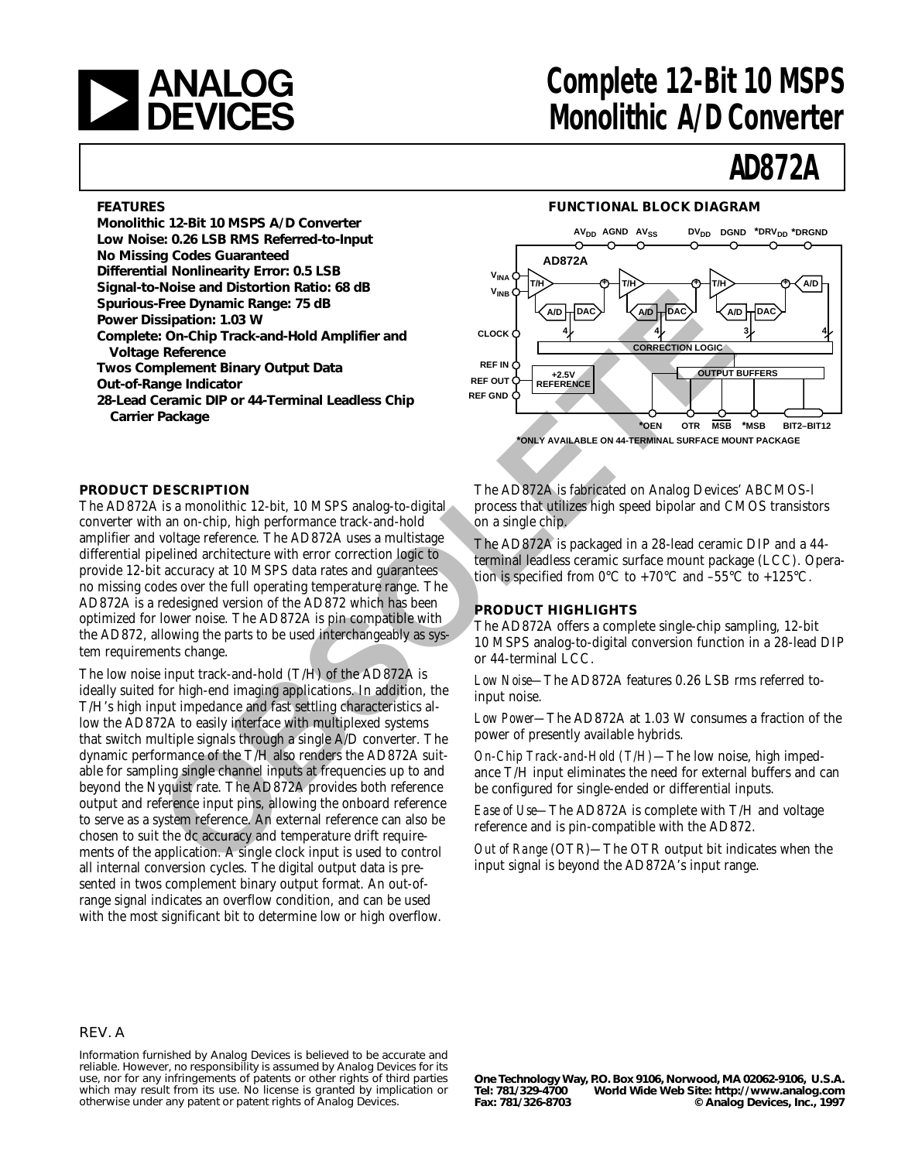

## **analog** Complete 12-Bit 10 MSPS<br> **DEVICES** Monolithic A/D Converter **Monolithic A/D Converter**

# **AD872A**

#### **FEATURES**

**Monolithic 12-Bit 10 MSPS A/D Converter Low Noise: 0.26 LSB RMS Referred-to-Input No Missing Codes Guaranteed Differential Nonlinearity Error: 0.5 LSB Signal-to-Noise and Distortion Ratio: 68 dB Spurious-Free Dynamic Range: 75 dB Power Dissipation: 1.03 W Complete: On-Chip Track-and-Hold Amplifier and Voltage Reference Twos Complement Binary Output Data Out-of-Range Indicator 28-Lead Ceramic DIP or 44-Terminal Leadless Chip Carrier Package**

#### **FUNCTIONAL BLOCK DIAGRAM**



#### **PRODUCT DESCRIPTION**

The AD872A is a monolithic 12-bit, 10 MSPS analog-to-digital converter with an on-chip, high performance track-and-hold amplifier and voltage reference. The AD872A uses a multistage differential pipelined architecture with error correction logic to provide 12-bit accuracy at 10 MSPS data rates and guarantees no missing codes over the full operating temperature range. The AD872A is a redesigned version of the AD872 which has been optimized for lower noise. The AD872A is pin compatible with the AD872, allowing the parts to be used interchangeably as system requirements change.

The low noise input track-and-hold (T/H) of the AD872A is ideally suited for high-end imaging applications. In addition, the T/H's high input impedance and fast settling characteristics allow the AD872A to easily interface with multiplexed systems that switch multiple signals through a single A/D converter. The dynamic performance of the T/H also renders the AD872A suitable for sampling single channel inputs at frequencies up to and beyond the Nyquist rate. The AD872A provides both reference output and reference input pins, allowing the onboard reference to serve as a system reference. An external reference can also be chosen to suit the dc accuracy and temperature drift requirements of the application. A single clock input is used to control all internal conversion cycles. The digital output data is presented in twos complement binary output format. An out-ofrange signal indicates an overflow condition, and can be used with the most significant bit to determine low or high overflow. **The Bylanton: 1.30 W<br>
<b>SERIARCE SUBLICE CONDITIES ANTIFICED**<br> **PERFECTION CONDITIES ANTIFICED**<br> **OBSIGATION:** 1.00 MSPS analog-to-digital<br> **OBSIGATION: OBSIGATION**<br> **PERFECTION**<br> **PERFECTION**<br> **PERFECTION**<br> **PERFECTION** 

The AD872A is fabricated on Analog Devices' ABCMOS-l process that utilizes high speed bipolar and CMOS transistors on a single chip.

The AD872A is packaged in a 28-lead ceramic DIP and a 44 terminal leadless ceramic surface mount package (LCC). Operation is specified from  $0^{\circ}$ C to +70 $^{\circ}$ C and -55 $^{\circ}$ C to +125 $^{\circ}$ C.

#### **PRODUCT HIGHLIGHTS**

The AD872A offers a complete single-chip sampling, 12-bit 10 MSPS analog-to-digital conversion function in a 28-lead DIP or 44-terminal LCC.

*Low Noise—*The AD872A features 0.26 LSB rms referred toinput noise.

*Low Power—*The AD872A at 1.03 W consumes a fraction of the power of presently available hybrids.

*On-Chip Track-and-Hold (T/H)—*The low noise, high impedance T/H input eliminates the need for external buffers and can be configured for single-ended or differential inputs.

*Ease of Use—*The AD872A is complete with T/H and voltage reference and is pin-compatible with the AD872.

*Out of Range* (OTR)*—*The OTR output bit indicates when the input signal is beyond the AD872A's input range.

#### REV. A

Information furnished by Analog Devices is believed to be accurate and reliable. However, no responsibility is assumed by Analog Devices for its use, nor for any infringements of patents or other rights of third parties which may result from its use. No license is granted by implication or otherwise under any patent or patent rights of Analog Devices.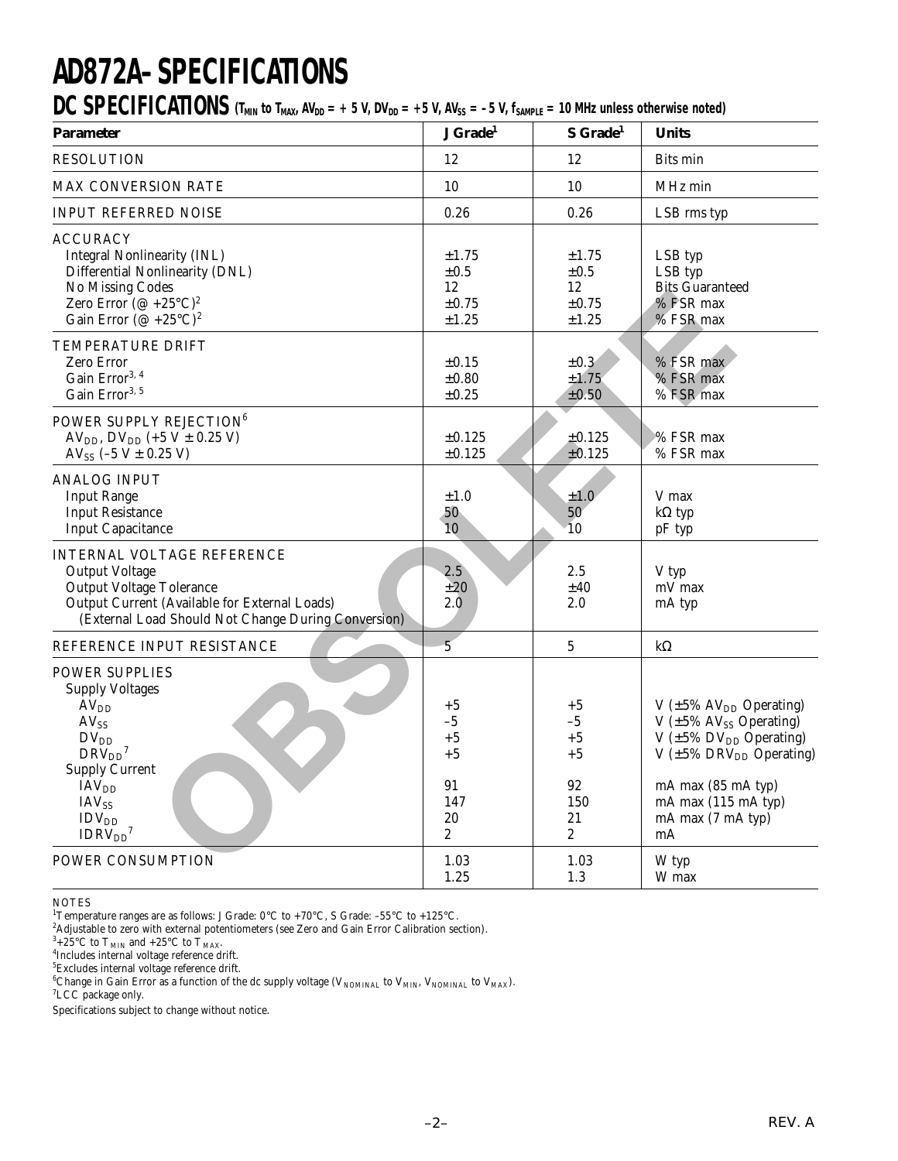# **AD872A–SPECIFICATIONS**

DC SPECIFICATIONS  $(T_{MIN}$  to  $T_{MAX}$ ,  $AV_{DD} = +5$  V,  $DV_{DD} = +5$  V,  $AV_{SS} = -5$  V,  $f_{SAMPLE} = 10$  MHz unless otherwise noted)

| <b>Parameter</b>                                                                                                                                                                                      | J Grade <sup>1</sup>                                 | S Grade <sup>1</sup>                                      | <b>Units</b>                                                                                                                                                                                                             |
|-------------------------------------------------------------------------------------------------------------------------------------------------------------------------------------------------------|------------------------------------------------------|-----------------------------------------------------------|--------------------------------------------------------------------------------------------------------------------------------------------------------------------------------------------------------------------------|
| <b>RESOLUTION</b>                                                                                                                                                                                     | 12                                                   | 12                                                        | <b>Bits min</b>                                                                                                                                                                                                          |
| <b>MAX CONVERSION RATE</b>                                                                                                                                                                            | 10                                                   | 10                                                        | MHz min                                                                                                                                                                                                                  |
| <b>INPUT REFERRED NOISE</b>                                                                                                                                                                           | 0.26                                                 | 0.26                                                      | LSB rms typ                                                                                                                                                                                                              |
| <b>ACCURACY</b><br><b>Integral Nonlinearity (INL)</b><br>Differential Nonlinearity (DNL)<br>No Missing Codes<br>Zero Error $(\mathcal{Q} +25^{\circ}C)^2$<br>Gain Error (@ +25°C) <sup>2</sup>        | $\pm 1.75$<br>$\pm 0.5$<br>12<br>$\pm 0.75$<br>±1.25 | $\pm 1.75$<br>$\pm 0.5$<br>12<br>$\pm 0.75$<br>$\pm 1.25$ | LSB typ<br>LSB typ<br><b>Bits Guaranteed</b><br>% FSR max<br>% FSR max                                                                                                                                                   |
| TEMPERATURE DRIFT<br>Zero Error<br>Gain Error <sup>3, 4</sup><br>Gain Error <sup>3, 5</sup>                                                                                                           | $\pm 0.15$<br>$\pm 0.80$<br>$\pm 0.25$               | $\pm 0.3$<br>±1.75<br>±0.50                               | % FSR max<br>% FSR max<br>% FSR max                                                                                                                                                                                      |
| POWER SUPPLY REJECTION <sup>6</sup><br>AV <sub>DD</sub> , DV <sub>DD</sub> (+5 V $\pm$ 0.25 V)<br>AV <sub>SS</sub> $(-5 V \pm 0.25 V)$                                                                | ±0.125<br>$\pm 0.125$                                | ±0.125<br>±0.125                                          | % FSR max<br>% FSR max                                                                                                                                                                                                   |
| <b>ANALOG INPUT</b><br><b>Input Range</b><br><b>Input Resistance</b><br><b>Input Capacitance</b>                                                                                                      | $\pm 1.0$<br>50<br>10                                | ±1.0<br>50<br>10                                          | V max<br>$k\Omega$ typ<br>pF typ                                                                                                                                                                                         |
| <b>INTERNAL VOLTAGE REFERENCE</b><br><b>Output Voltage</b><br><b>Output Voltage Tolerance</b><br>Output Current (Available for External Loads)<br>(External Load Should Not Change During Conversion) | 2.5<br>±20<br>2.0                                    | 2.5<br>$\pm 40$<br>2.0                                    | V typ<br>mV max<br>mA typ                                                                                                                                                                                                |
| REFERENCE INPUT RESISTANCE                                                                                                                                                                            | $\overline{5}$                                       | $\bf 5$                                                   | $k\Omega$                                                                                                                                                                                                                |
| <b>POWER SUPPLIES</b><br><b>Supply Voltages</b><br>AV <sub>DD</sub><br>$AV_{SS}$<br>$DV_{DD}$<br>$DRV_{DD}$ <sup>7</sup><br><b>Supply Current</b><br><b>IAV</b> <sub>DD</sub>                         | $+5$<br>$-5$<br>$+5$<br>$+5$<br>91                   | $+5$<br>$-5$<br>$+5$<br>$+5$<br>92                        | V $(\pm 5\% \text{ AV}_{DD} \text{ Operating})$<br>V $(\pm 5\% \text{ AV}_{SS} \text{ Operating})$<br>V $(\pm 5\%$ DV <sub>DD</sub> Operating)<br>V $(\pm 5\% \text{ DRV}_{DD} \text{ Operating})$<br>mA max (85 mA typ) |
| <b>IAV<sub>SS</sub></b><br>IDV <sub>DD</sub><br>IDRV <sub>DD</sub> <sup>7</sup>                                                                                                                       | 147<br>$20\,$<br>$\overline{c}$                      | 150<br>21<br>$\boldsymbol{2}$                             | mA max (115 mA typ)<br>mA max (7 mA typ)<br>mA                                                                                                                                                                           |
| POWER CONSUMPTION                                                                                                                                                                                     | 1.03<br>1.25                                         | 1.03<br>1.3                                               | W typ<br>W max                                                                                                                                                                                                           |

NOTES

<sup>1</sup>Temperature ranges are as follows: J Grade: 0°C to +70°C, S Grade: -55°C to +125°C.

 $^2$ Adjustable to zero with external potentiometers (see Zero and Gain Error Calibration section).<br> $^3+25^{\circ}{\rm C}$  to T<sub>MIN</sub> and +25°C to T<sub>MAX</sub>.<br> $^4$ Includes internal voltage reference drift

<sup>4</sup>Includes internal voltage reference drift.<br><sup>5</sup>Excludes internal voltage reference drift.

<sup>6</sup>Change in Gain Error as a function of the dc supply voltage (V<sub>NOMINAL</sub> to V<sub>MIN</sub>, V<sub>NOMINAL</sub> to V<sub>MAX</sub>).<br><sup>7</sup>I CC nackage only

<sup>7</sup>LCC package only.

Specifications subject to change without notice.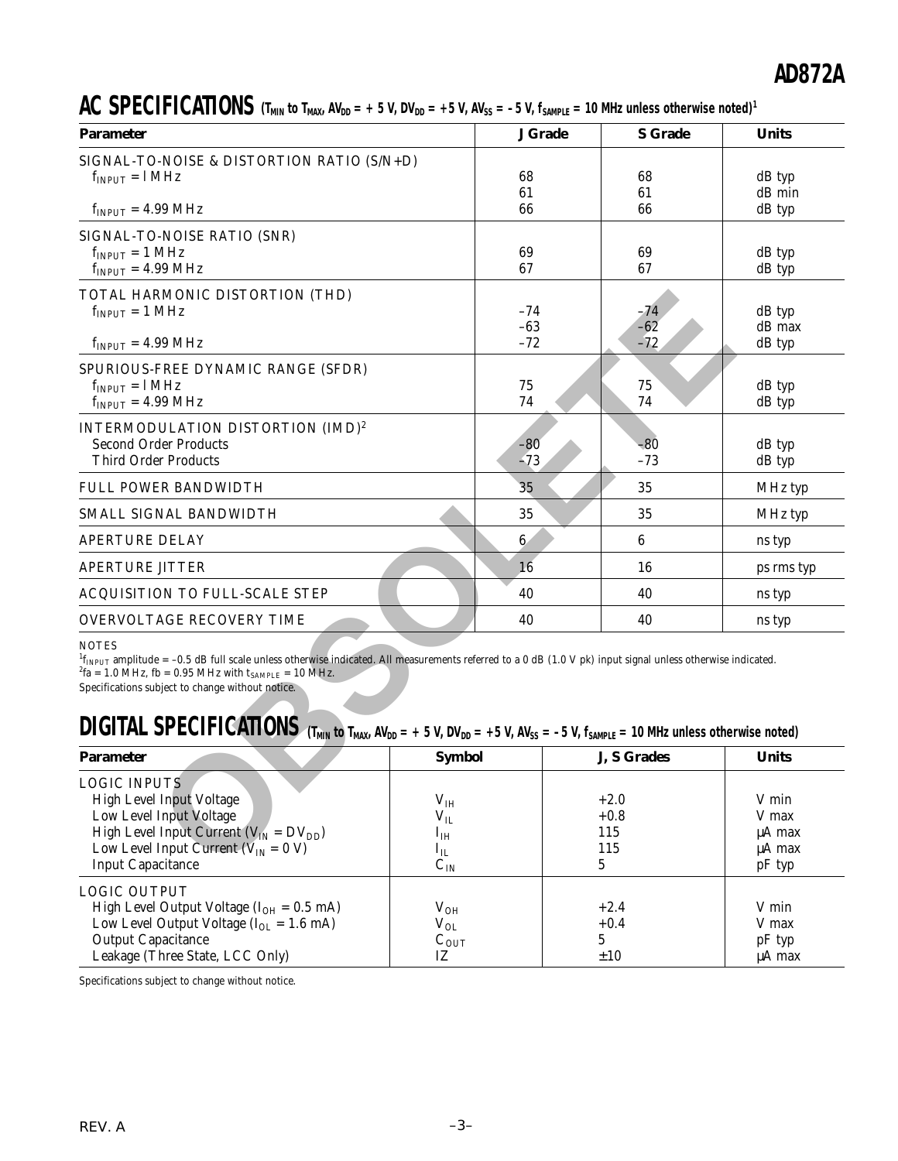AC SPECIFICATIONS  $(T_{MIN}$  to  $T_{MAX}$ ,  $AV_{DD} = +5$  V,  $DV_{DD} = +5$  V,  $AV_{SS} = -5$  V,  $f_{SAMPLE} = 10$  MHz unless otherwise noted)<sup>1</sup>

| <b>Parameter</b>                                                                                                                                                                                                                                                                                                 |                 | <b>J</b> Grade  | <b>S</b> Grade  | <b>Units</b>       |
|------------------------------------------------------------------------------------------------------------------------------------------------------------------------------------------------------------------------------------------------------------------------------------------------------------------|-----------------|-----------------|-----------------|--------------------|
| SIGNAL-TO-NOISE & DISTORTION RATIO (S/N+D)                                                                                                                                                                                                                                                                       |                 |                 |                 |                    |
| $f_{INPUT} = 1 MHz$                                                                                                                                                                                                                                                                                              |                 | 68              | 68              | dB typ             |
|                                                                                                                                                                                                                                                                                                                  |                 | 61              | 61              | dB min             |
| $f_{INPUT} = 4.99 \text{ MHz}$                                                                                                                                                                                                                                                                                   |                 | 66              | 66              | dB typ             |
| SIGNAL-TO-NOISE RATIO (SNR)                                                                                                                                                                                                                                                                                      |                 |                 |                 |                    |
| $f_{INPUT} = 1 \text{ MHz}$                                                                                                                                                                                                                                                                                      |                 | 69              | 69              | dB typ             |
| $f_{INPUT} = 4.99 \text{ MHz}$                                                                                                                                                                                                                                                                                   |                 | 67              | 67              | dB typ             |
| TOTAL HARMONIC DISTORTION (THD)                                                                                                                                                                                                                                                                                  |                 |                 |                 |                    |
| $f_{INPUT} = 1 MHz$                                                                                                                                                                                                                                                                                              |                 | $-74$           | -74             | dB typ             |
|                                                                                                                                                                                                                                                                                                                  |                 | $-63$           | $-62$           | dB max             |
| $f_{INPUT} = 4.99 \text{ MHz}$                                                                                                                                                                                                                                                                                   |                 | $-72$           | $-72$           | dB typ             |
|                                                                                                                                                                                                                                                                                                                  |                 |                 |                 |                    |
| SPURIOUS-FREE DYNAMIC RANGE (SFDR)                                                                                                                                                                                                                                                                               |                 |                 |                 |                    |
| $f_{INPUT} = 1 MHz$<br>$f_{INPUT} = 4.99 \text{ MHz}$                                                                                                                                                                                                                                                            |                 | 75<br>74        | 75<br>74        | $dB$ typ<br>dB typ |
|                                                                                                                                                                                                                                                                                                                  |                 |                 |                 |                    |
| INTERMODULATION DISTORTION (IMD) <sup>2</sup>                                                                                                                                                                                                                                                                    |                 |                 |                 |                    |
| <b>Second Order Products</b>                                                                                                                                                                                                                                                                                     |                 | -80             | -80             | dB typ             |
| <b>Third Order Products</b>                                                                                                                                                                                                                                                                                      |                 | $-73$           | $-73$           | dB typ             |
| <b>FULL POWER BANDWIDTH</b>                                                                                                                                                                                                                                                                                      |                 | 35              | 35              | MHz typ            |
| SMALL SIGNAL BANDWIDTH                                                                                                                                                                                                                                                                                           |                 | 35              | 35              | MHz typ            |
| <b>APERTURE DELAY</b>                                                                                                                                                                                                                                                                                            |                 | $6\phantom{.}6$ | 6               | ns typ             |
| <b>APERTURE JITTER</b>                                                                                                                                                                                                                                                                                           |                 | 16              | 16              | ps rms typ         |
| ACQUISITION TO FULL-SCALE STEP                                                                                                                                                                                                                                                                                   |                 | 40              | 40              | ns typ             |
| <b>OVERVOLTAGE RECOVERY TIME</b>                                                                                                                                                                                                                                                                                 |                 | 40              | 40              | ns typ             |
| <b>NOTES</b><br>${}^{1}f_{INPUT}$ amplitude = -0.5 dB full scale unless otherwise indicated. All measurements referred to a 0 dB (1.0 V pk) input signal unless otherwise indicated.<br><sup>2</sup> fa = 1.0 MHz, fb = 0.95 MHz with $t_{SAMPLE}$ = 10 MHz.<br>Specifications subject to change without notice. |                 |                 |                 |                    |
| <b>DIGITAL SPECIFICATIONS</b> (T <sub>MIN</sub> to T <sub>MAX</sub> , AV <sub>DD</sub> = + 5 V, DV <sub>DD</sub> = +5 V, AV <sub>SS</sub> = -5 V, f <sub>SAMPLE</sub> = 10 MHz unless otherwise noted)                                                                                                           |                 |                 |                 |                    |
| <b>Parameter</b>                                                                                                                                                                                                                                                                                                 | <b>Symbol</b>   |                 | J, S Grades     | <b>Units</b>       |
| <b>LOGIC INPUTS</b>                                                                                                                                                                                                                                                                                              |                 |                 |                 |                    |
| High Level Input Voltage                                                                                                                                                                                                                                                                                         | V <sub>IH</sub> |                 | $+2.0$          | V min              |
| Low Level Input Voltage                                                                                                                                                                                                                                                                                          | $\rm V_{II}$    |                 | $+0.8$          | V max              |
| High Level Input Current ( $V_{IN} = DV_{DD}$ )                                                                                                                                                                                                                                                                  | $I_{IH}$        |                 | 115             | µA max             |
| Low Level Input Current ( $V_{IN} = 0 V$ )                                                                                                                                                                                                                                                                       | $I_{IL}$        |                 | 115             | $\mu A$ max        |
| <b>Input Capacitance</b>                                                                                                                                                                                                                                                                                         | $C_{\text{IN}}$ |                 | $5\overline{)}$ | pF typ             |

### $\textbf{DIGITAL SPECIFICATIONS}$  (T<sub>MIN</sub> to T<sub>MAX</sub>, AV<sub>DD</sub> = + 5 V, DV<sub>DD</sub> = +5 V, AV<sub>SS</sub> = -5 V, f<sub>SAMPLE</sub> = 10 MHz unless otherwise noted)

| <b>Parameter</b>                                                                                                                                                                     | <b>Symbol</b>                                          | J, S Grades                  | <b>Units</b>                         |
|--------------------------------------------------------------------------------------------------------------------------------------------------------------------------------------|--------------------------------------------------------|------------------------------|--------------------------------------|
| <b>LOGIC INPUTS</b><br>High Level Input Voltage<br>Low Level Input Voltage                                                                                                           | $\rm V_{IH}$<br>$V_{IL}$                               | $+2.0$<br>$+0.8$             | V min<br>V max                       |
| High Level Input Current ( $V_{IN} = DV_{DD}$ )<br>Low Level Input Current ( $V_{IN} = 0 V$ )<br><b>Input Capacitance</b>                                                            | $I_{IH}$<br>$\mathbf{1}_{\mathrm{IL}}$<br>$C_{IN}$     | 115<br>115<br>5              | uA max<br>uA max<br>$pF$ typ         |
| <b>LOGIC OUTPUT</b><br>High Level Output Voltage $(I_{OH} = 0.5$ mA)<br>Low Level Output Voltage $(I_{OL} = 1.6$ mA)<br><b>Output Capacitance</b><br>Leakage (Three State, LCC Only) | $\rm V_{OH}$<br>$\rm V_{OL}$<br>$C_{\text{OUT}}$<br>IZ | $+2.4$<br>$+0.4$<br>5<br>±10 | V min<br>V max<br>$pF$ typ<br>µA max |

Specifications subject to change without notice.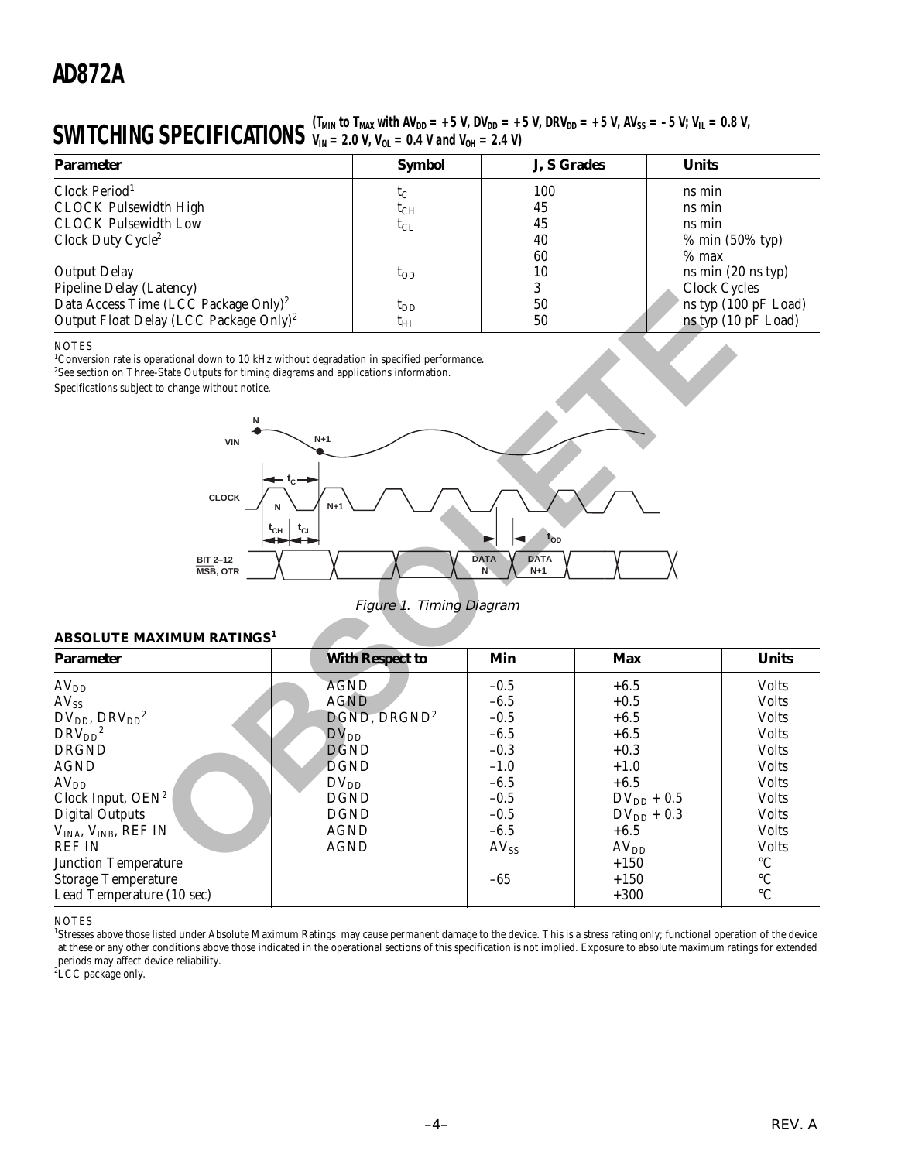#### **SWITCHING SPECIFICATIONS**  $V_{IN} = 2.0 V, V_{OL} = 0.4 V$  and  $V_{OH} = 2.4 V$  $V_{IN}$  = 2.0 V, V<sub>OL</sub> = 0.4 V and V<sub>OH</sub> = 2.4 V)

| <b>Parameter</b>                                   | <b>Symbol</b> | J, S Grades | <b>Units</b>                  |
|----------------------------------------------------|---------------|-------------|-------------------------------|
| Clock Period <sup>1</sup>                          | $t_C$         | 100         | ns min                        |
| <b>CLOCK Pulsewidth High</b>                       | $t_{CH}$      | 45          | ns min                        |
| <b>CLOCK Pulsewidth Low</b>                        | $t_{CL}$      | 45          | ns min                        |
| Clock Duty Cycle <sup>2</sup>                      |               | 40          | % min (50% typ)               |
|                                                    |               | 60          | $%$ max                       |
| <b>Output Delay</b>                                | $t_{OD}$      | 10          | ns min $(20 \text{ ns typ})$  |
| Pipeline Delay (Latency)                           |               |             | Clock Cycles                  |
| Data Access Time (LCC Package Only) <sup>2</sup>   | $t_{DD}$      | 50          | ns typ (100 pF Load)          |
| Output Float Delay (LCC Package Only) <sup>2</sup> | $\rm t_{HL}$  | 50          | ns typ $(10 \text{ pF}$ Load) |

#### **NOTES**



Figure 1. Timing Diagram

#### **ABSOLUTE MAXIMUM RATINGS<sup>1</sup>**

| ripenne Delay (Latency)<br>Data Access Time (LCC Package Only) <sup>2</sup>                                                                                                                                                                                                       |             | $t_{DD}$                 | J.<br>50                                 |                  | CIUCK CYCLES<br>ns typ (100 pF Load) |
|-----------------------------------------------------------------------------------------------------------------------------------------------------------------------------------------------------------------------------------------------------------------------------------|-------------|--------------------------|------------------------------------------|------------------|--------------------------------------|
| Output Float Delay (LCC Package Only) <sup>2</sup>                                                                                                                                                                                                                                |             | $t_{HL}$                 | $50\,$                                   |                  | ns typ (10 pF Load)                  |
| <b>NOTES</b><br><sup>1</sup> Conversion rate is operational down to 10 kHz without degradation in specified performance.<br><sup>2</sup> See section on Three-State Outputs for timing diagrams and applications information.<br>Specifications subject to change without notice. |             |                          |                                          |                  |                                      |
|                                                                                                                                                                                                                                                                                   |             |                          |                                          |                  |                                      |
| <b>VIN</b>                                                                                                                                                                                                                                                                        | $N+1$       |                          |                                          |                  |                                      |
| <b>CLOCK</b>                                                                                                                                                                                                                                                                      | $t_{CL}$    |                          | - t <sub>op</sub>                        |                  |                                      |
| <b>BIT 2-12</b><br>MSB, OTR                                                                                                                                                                                                                                                       |             |                          | <b>DATA</b><br><b>DATA</b><br>N<br>$N+1$ |                  |                                      |
|                                                                                                                                                                                                                                                                                   |             | Figure 1. Timing Diagram |                                          |                  |                                      |
| <b>ABSOLUTE MAXIMUM RATINGS1</b>                                                                                                                                                                                                                                                  |             |                          |                                          |                  |                                      |
| <b>Parameter</b>                                                                                                                                                                                                                                                                  |             | <b>With Respect to</b>   | Min                                      | <b>Max</b>       | <b>Units</b>                         |
| AV <sub>DD</sub>                                                                                                                                                                                                                                                                  | <b>AGND</b> |                          | $-0.5$                                   | $+6.5$           | <b>Volts</b>                         |
| $AV_{SS}$                                                                                                                                                                                                                                                                         | <b>AGND</b> |                          | $-6.5$                                   | $+0.5$           | <b>Volts</b>                         |
| $DV_{DD}$ , $DRV_{DD}^2$                                                                                                                                                                                                                                                          |             | DGND, DRGND <sup>2</sup> | $-0.5$                                   | $+6.5$           | <b>Volts</b>                         |
| $DRV_{DD}^2$                                                                                                                                                                                                                                                                      | $DV_{DD}$   |                          | $-6.5$                                   | $+6.5$           | <b>Volts</b>                         |
| <b>DRGND</b>                                                                                                                                                                                                                                                                      | <b>DGND</b> |                          | $-0.3$                                   | $+0.3$           | <b>Volts</b>                         |
| <b>AGND</b>                                                                                                                                                                                                                                                                       | <b>DGND</b> |                          | $-1.0$                                   | $+1.0$           | <b>Volts</b>                         |
| AV <sub>DD</sub>                                                                                                                                                                                                                                                                  | $DV_{DD}$   |                          | $-6.5$                                   | $+6.5$           | <b>Volts</b>                         |
| Clock Input, $OEN^2$                                                                                                                                                                                                                                                              | <b>DGND</b> |                          | $-0.5$                                   | $DV_{DD} + 0.5$  | <b>Volts</b>                         |
| <b>Digital Outputs</b>                                                                                                                                                                                                                                                            | <b>DGND</b> |                          | $-0.5$                                   | $DV_{DD}$ + 0.3  | <b>Volts</b>                         |
| $VINA$ , $VINB$ , REF IN                                                                                                                                                                                                                                                          | <b>AGND</b> |                          | $-6.5$                                   | $+6.5$           | <b>Volts</b>                         |
| <b>REF IN</b>                                                                                                                                                                                                                                                                     | <b>AGND</b> |                          | $AV_{SS}$                                | AV <sub>DD</sub> | <b>Volts</b>                         |
| <b>Junction Temperature</b>                                                                                                                                                                                                                                                       |             |                          |                                          | $+150$           | $^{\circ} \text{C}$                  |
| <b>Storage Temperature</b>                                                                                                                                                                                                                                                        |             |                          | $-65$                                    | $+150$           | $^{\circ}{\rm C}$                    |
| Lead Temperature (10 sec)                                                                                                                                                                                                                                                         |             |                          |                                          | $+300$           | $\rm ^{\circ}C$                      |
|                                                                                                                                                                                                                                                                                   |             |                          |                                          |                  |                                      |

**NOTES** 

<sup>1</sup>Stresses above those listed under Absolute Maximum Ratings may cause permanent damage to the device. This is a stress rating only; functional operation of the device at these or any other conditions above those indicated in the operational sections of this specification is not implied. Exposure to absolute maximum ratings for extended periods may affect device reliability. 2 LCC package only.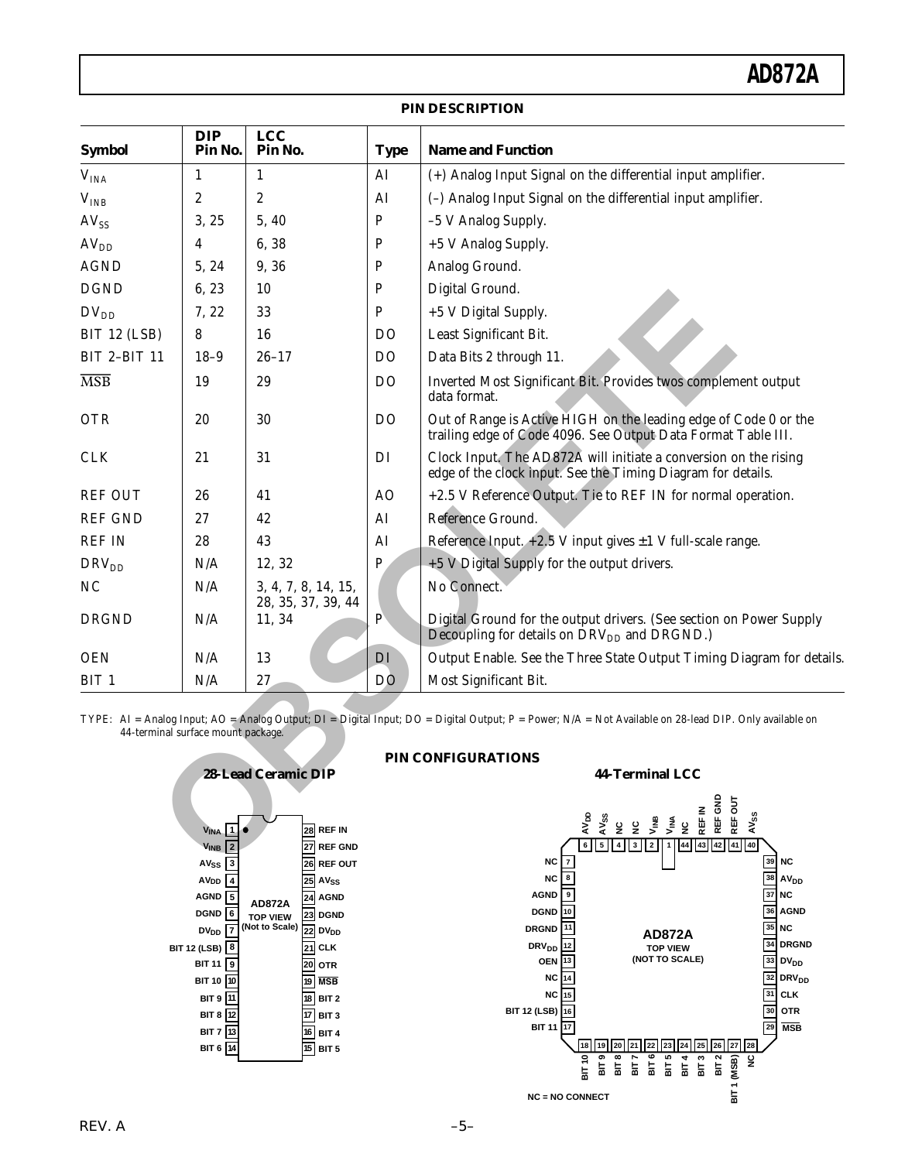| <b>Symbol</b>           | <b>DIP</b><br>Pin No.                                           | <b>LCC</b><br>Pin No.                     | <b>Type</b>    | <b>Name and Function</b>                                                                                                                               |
|-------------------------|-----------------------------------------------------------------|-------------------------------------------|----------------|--------------------------------------------------------------------------------------------------------------------------------------------------------|
| V <sub>INA</sub>        | $\mathbf{1}$                                                    | $\mathbf{1}$                              | AI             | (+) Analog Input Signal on the differential input amplifier.                                                                                           |
| V <sub>INB</sub>        | $\overline{c}$                                                  | $\boldsymbol{2}$                          | AI             | (-) Analog Input Signal on the differential input amplifier.                                                                                           |
| $AV_{SS}$               | 3, 25                                                           | 5, 40                                     | ${\bf P}$      | -5 V Analog Supply.                                                                                                                                    |
| AV <sub>DD</sub>        | 4                                                               | 6,38                                      | $\mathbf P$    | +5 V Analog Supply.                                                                                                                                    |
| <b>AGND</b>             | 5, 24                                                           | 9, 36                                     | P              | Analog Ground.                                                                                                                                         |
| <b>DGND</b>             | 6,23                                                            | 10                                        | P              | Digital Ground.                                                                                                                                        |
| $DV_{DD}$               | 7, 22                                                           | 33                                        | P              | +5 V Digital Supply.                                                                                                                                   |
| BIT 12 (LSB)            | 8                                                               | 16                                        | D <sub>O</sub> | Least Significant Bit.                                                                                                                                 |
| <b>BIT 2-BIT 11</b>     | $18-9$                                                          | $26 - 17$                                 | D <sub>O</sub> | Data Bits 2 through 11.                                                                                                                                |
| $\overline{\text{MSB}}$ | 19                                                              | 29                                        | D <sub>O</sub> | Inverted Most Significant Bit. Provides twos complement output<br>data format.                                                                         |
| <b>OTR</b>              | 20                                                              | 30                                        | D <sub>O</sub> | Out of Range is Active HIGH on the leading edge of Code 0 or the<br>trailing edge of Code 4096. See Output Data Format Table III.                      |
| <b>CLK</b>              | 21                                                              | 31                                        | DI             | Clock Input. The AD872A will initiate a conversion on the rising<br>edge of the clock input. See the Timing Diagram for details.                       |
| <b>REF OUT</b>          | 26                                                              | 41                                        | AO             | +2.5 V Reference Output. Tie to REF IN for normal operation.                                                                                           |
| <b>REF GND</b>          | 27                                                              | 42                                        | AI             | Reference Ground.                                                                                                                                      |
| <b>REF IN</b>           | 28                                                              | 43                                        | AI             | Reference Input. $+2.5$ V input gives $\pm 1$ V full-scale range.                                                                                      |
| DRV <sub>DD</sub>       | N/A                                                             | 12, 32                                    | $\mathbf P$    | +5 V Digital Supply for the output drivers.                                                                                                            |
| N <sub>C</sub>          | N/A                                                             | 3, 4, 7, 8, 14, 15,<br>28, 35, 37, 39, 44 |                | No Connect.                                                                                                                                            |
| <b>DRGND</b>            | N/A                                                             | 11, 34                                    | $\mathbf{P}$   | Digital Ground for the output drivers. (See section on Power Supply<br>Decoupling for details on DRV <sub>DD</sub> and DRGND.)                         |
| <b>OEN</b>              | N/A                                                             | 13                                        | DI             | Output Enable. See the Three State Output Timing Diagram for details.                                                                                  |
| BIT <sub>1</sub>        | N/A                                                             | 27                                        | D <sub>O</sub> | Most Significant Bit.                                                                                                                                  |
|                         | 44-terminal surface mount package.                              |                                           |                | TYPE: AI = Analog Input; AO = Analog Output; DI = Digital Input; DO = Digital Output; P = Power; N/A = Not Available on 28-lead DIP. Only available on |
|                         |                                                                 | 28-Lead Ceramic DIP                       |                | PIN CONFIGURATIONS<br><b>44-Terminal LCC</b>                                                                                                           |
|                         |                                                                 |                                           |                |                                                                                                                                                        |
|                         |                                                                 |                                           |                | REF GND<br>REF OUT<br>REF IN                                                                                                                           |
|                         | $\mathbf{1}$<br><b>VINA</b>                                     | 28 REF IN                                 |                | AV <sub>SS</sub><br>w⊪y<br>V<br>V <sub>INA</sub><br>ی<br>اللہ<br>$\tilde{\mathbf{z}}$<br>22                                                            |
|                         | V <sub>INB</sub><br>AV <sub>SS</sub><br>$\overline{\mathbf{3}}$ | 27 REF GND<br>26 REF OUT                  |                | 6<br>42<br>41<br>40<br>5<br>$\overline{\mathbf{4}}$<br>$\mathbf{3}$<br>$\mathbf 2$<br>44<br>43<br>39N<br>$NC$   7                                      |

#### **PIN DESCRIPTION**



#### **PIN CONFIGURATIONS**



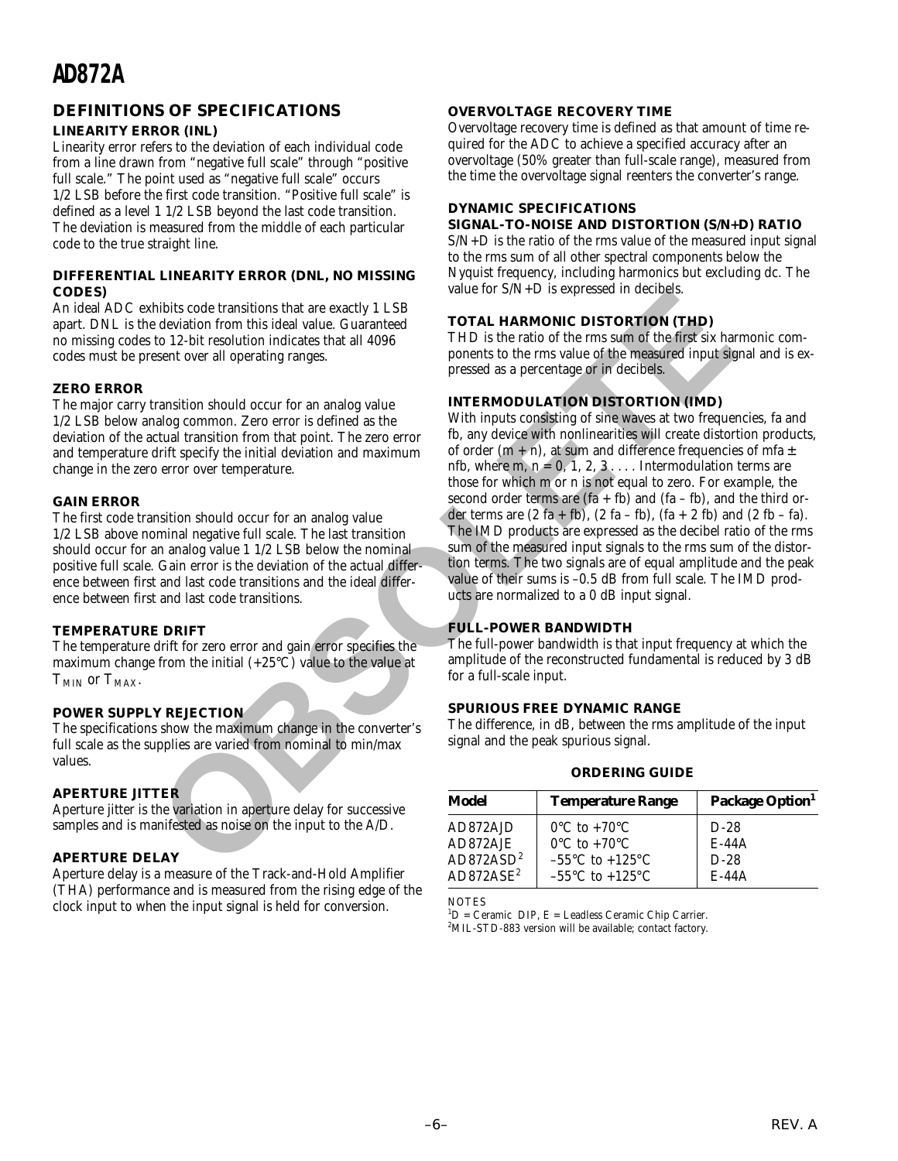#### **DEFINITIONS OF SPECIFICATIONS**

#### **LINEARITY ERROR (INL)**

Linearity error refers to the deviation of each individual code from a line drawn from "negative full scale" through "positive full scale." The point used as "negative full scale" occurs 1/2 LSB before the first code transition. "Positive full scale" is defined as a level 1 1/2 LSB beyond the last code transition. The deviation is measured from the middle of each particular code to the true straight line.

#### **DIFFERENTIAL LINEARITY ERROR (DNL, NO MISSING CODES)**

An ideal ADC exhibits code transitions that are exactly 1 LSB apart. DNL is the deviation from this ideal value. Guaranteed no missing codes to 12-bit resolution indicates that all 4096 codes must be present over all operating ranges.

#### **ZERO ERROR**

The major carry transition should occur for an analog value 1/2 LSB below analog common. Zero error is defined as the deviation of the actual transition from that point. The zero error and temperature drift specify the initial deviation and maximum change in the zero error over temperature.

#### **GAIN ERROR**

The first code transition should occur for an analog value 1/2 LSB above nominal negative full scale. The last transition should occur for an analog value 1 1/2 LSB below the nominal positive full scale. Gain error is the deviation of the actual difference between first and last code transitions and the ideal difference between first and last code transitions.

#### **TEMPERATURE DRIFT**

The temperature drift for zero error and gain error specifies the maximum change from the initial  $(+25^{\circ}C)$  value to the value at  $T<sub>MIN</sub>$  or  $T<sub>MAX</sub>$ .

#### **POWER SUPPLY REJECTION**

The specifications show the maximum change in the converter's full scale as the supplies are varied from nominal to min/max values.

#### **APERTURE JITTER**

Aperture jitter is the variation in aperture delay for successive samples and is manifested as noise on the input to the A/D.

#### **APERTURE DELAY**

Aperture delay is a measure of the Track-and-Hold Amplifier (THA) performance and is measured from the rising edge of the clock input to when the input signal is held for conversion.

#### **OVERVOLTAGE RECOVERY TIME**

Overvoltage recovery time is defined as that amount of time required for the ADC to achieve a specified accuracy after an overvoltage (50% greater than full-scale range), measured from the time the overvoltage signal reenters the converter's range.

#### **DYNAMIC SPECIFICATIONS**

#### **SIGNAL-TO-NOISE AND DISTORTION (S/N+D) RATIO**

S/N+D is the ratio of the rms value of the measured input signal to the rms sum of all other spectral components below the Nyquist frequency, including harmonics but excluding dc. The value for S/N+D is expressed in decibels.

#### **TOTAL HARMONIC DISTORTION (THD)**

THD is the ratio of the rms sum of the first six harmonic components to the rms value of the measured input signal and is expressed as a percentage or in decibels.

#### **INTERMODULATION DISTORTION (IMD)**

With inputs consisting of sine waves at two frequencies, fa and fb, any device with nonlinearities will create distortion products, of order  $(m + n)$ , at sum and difference frequencies of mfa  $\pm$ nfb, where m,  $n = 0, 1, 2, 3, \ldots$  Intermodulation terms are those for which m or n is not equal to zero. For example, the second order terms are  $(fa + fb)$  and  $(fa - fb)$ , and the third order terms are  $(2 \text{ fa} + \text{fb})$ ,  $(2 \text{ fa} - \text{fb})$ ,  $(\text{fa} + 2 \text{ fb})$  and  $(2 \text{ fb} - \text{fa})$ . The IMD products are expressed as the decibel ratio of the rms sum of the measured input signals to the rms sum of the distortion terms. The two signals are of equal amplitude and the peak value of their sums is –0.5 dB from full scale. The IMD products are normalized to a 0 dB input signal. Value for SNN+1) **Example the COVALE CONSTRANGING** (declination for the conduction include the conduction include Clumpter and down the side of the maximum of the maximum of the maximum of the conduction include the condu

#### **FULL-POWER BANDWIDTH**

The full-power bandwidth is that input frequency at which the amplitude of the reconstructed fundamental is reduced by 3 dB for a full-scale input.

#### **SPURIOUS FREE DYNAMIC RANGE**

The difference, in dB, between the rms amplitude of the input signal and the peak spurious signal.

#### **ORDERING GUIDE**

| Model                 | <b>Temperature Range</b>            | Package Option <sup>1</sup> |
|-----------------------|-------------------------------------|-----------------------------|
| AD872AJD              | $0^{\circ}$ C to +70 $^{\circ}$ C   | $D-28$                      |
| AD872AJE              | $0^{\circ}$ C to +70 $^{\circ}$ C   | $E-44A$                     |
| AD872ASD <sup>2</sup> | $-55^{\circ}$ C to $+125^{\circ}$ C | $D-28$                      |
| $AD872ASE^2$          | $-55^{\circ}$ C to $+125^{\circ}$ C | $E-44A$                     |

**NOTES** 

 ${}^{1}D$  = Ceramic DIP, E = Leadless Ceramic Chip Carrier. <sup>2</sup>MIL-STD-883 version will be available; contact factory.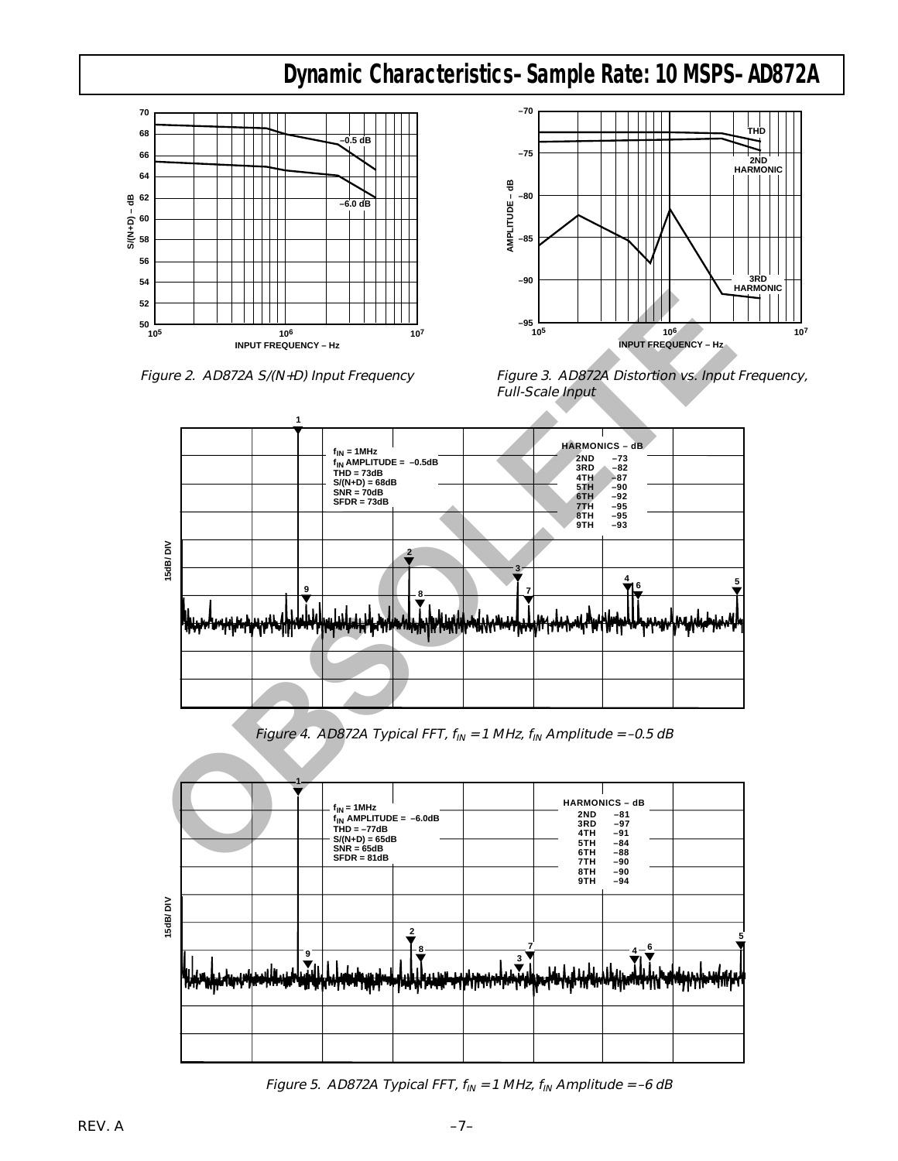### **Dynamic Characteristics–Sample Rate: 10 MSPS–AD872A**



Figure 2. AD872A S/(N+D) Input Frequency



Figure 3. AD872A Distortion vs. Input Frequency, Full-Scale Input



Figure 4. AD872A Typical FFT,  $f_{IN} = 1$  MHz,  $f_{IN}$  Amplitude = -0.5 dB



Figure 5. AD872A Typical FFT,  $f_{IN} = 1$  MHz,  $f_{IN}$  Amplitude = -6 dB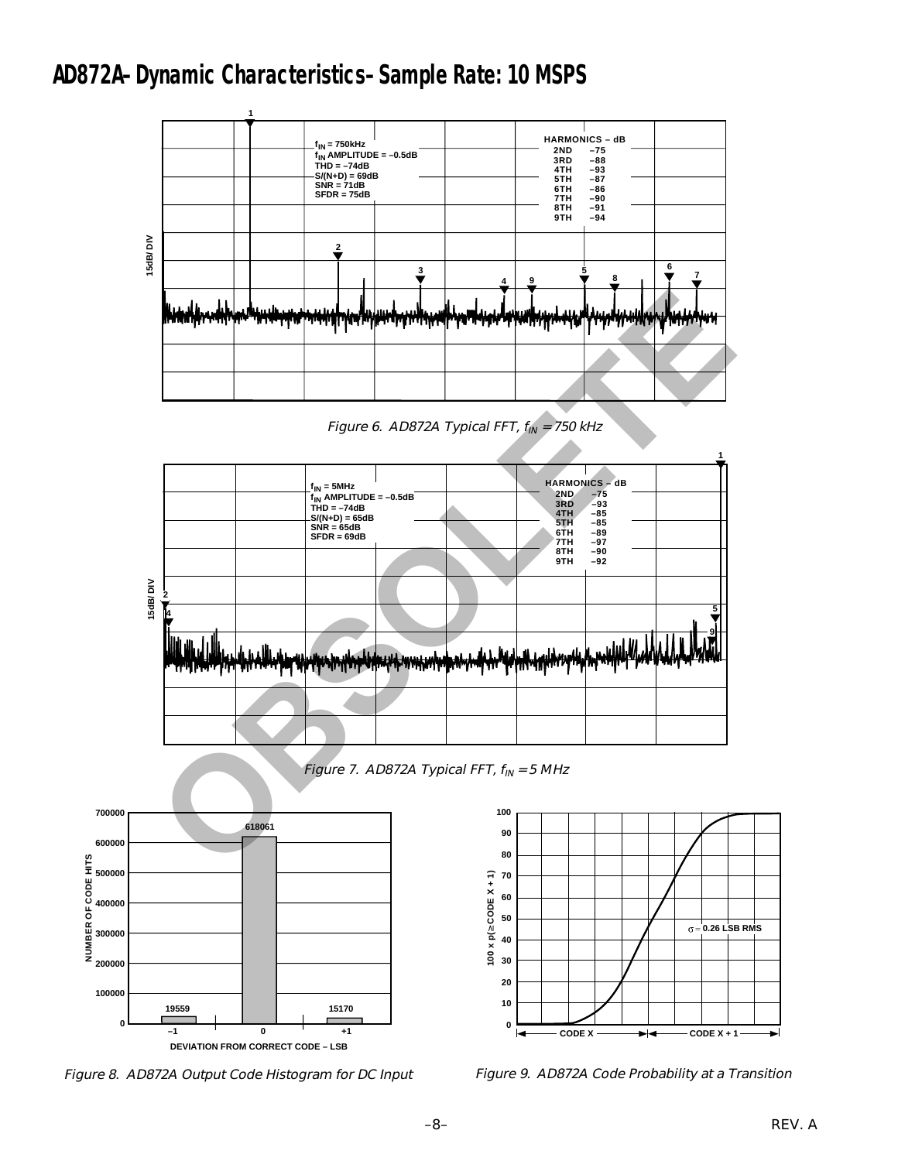### **AD872A–Dynamic Characteristics–Sample Rate: 10 MSPS**



Figure 6. AD872A Typical FFT,  $f_{IN}$  = 750 kHz



Figure 7. AD872A Typical FFT,  $f_{IN} = 5$  MHz



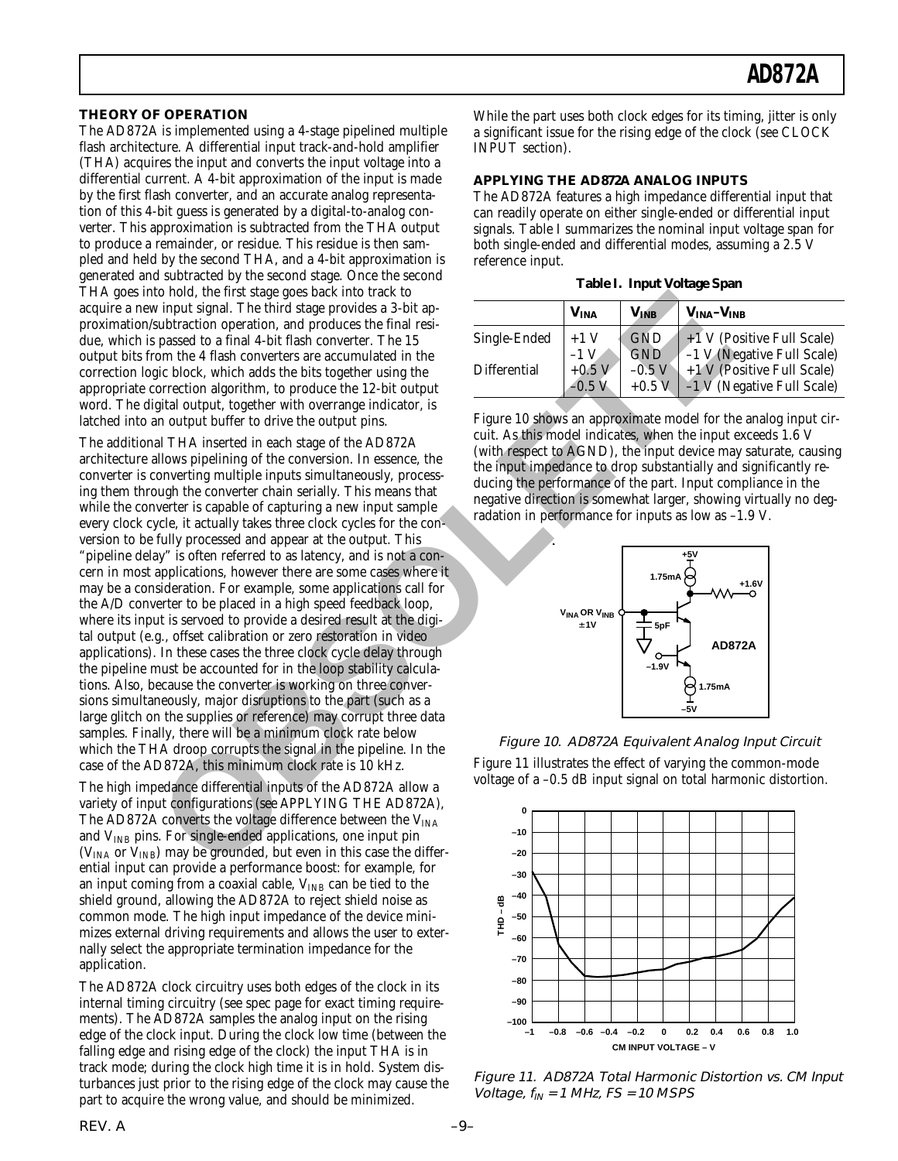#### **THEORY OF OPERATION**

The AD872A is implemented using a 4-stage pipelined multiple flash architecture. A differential input track-and-hold amplifier (THA) acquires the input and converts the input voltage into a differential current. A 4-bit approximation of the input is made by the first flash converter, and an accurate analog representation of this 4-bit guess is generated by a digital-to-analog converter. This approximation is subtracted from the THA output to produce a remainder, or residue. This residue is then sampled and held by the second THA, and a 4-bit approximation is generated and subtracted by the second stage. Once the second THA goes into hold, the first stage goes back into track to acquire a new input signal. The third stage provides a 3-bit approximation/subtraction operation, and produces the final residue, which is passed to a final 4-bit flash converter. The 15 output bits from the 4 flash converters are accumulated in the correction logic block, which adds the bits together using the appropriate correction algorithm, to produce the 12-bit output word. The digital output, together with overrange indicator, is latched into an output buffer to drive the output pins.

The additional THA inserted in each stage of the AD872A architecture allows pipelining of the conversion. In essence, the converter is converting multiple inputs simultaneously, processing them through the converter chain serially. This means that while the converter is capable of capturing a new input sample every clock cycle, it actually takes three clock cycles for the conversion to be fully processed and appear at the output. This "pipeline delay" is often referred to as latency, and is not a concern in most applications, however there are some cases where it may be a consideration. For example, some applications call for the A/D converter to be placed in a high speed feedback loop, where its input is servoed to provide a desired result at the digital output (e.g., offset calibration or zero restoration in video applications). In these cases the three clock cycle delay through the pipeline must be accounted for in the loop stability calculations. Also, because the converter is working on three conversions simultaneously, major disruptions to the part (such as a large glitch on the supplies or reference) may corrupt three data samples. Finally, there will be a minimum clock rate below which the THA droop corrupts the signal in the pipeline. In the case of the AD872A, this minimum clock rate is 10 kHz. to hold, the first stage goes back into track to<br>
in the signal. The third stage provides a 3 bit ap-<br>
subset concerned provides a 3 bit ap-<br>
mom. It also converte are accumulated in the<br>
mom. The space do a final 4-bit f

The high impedance differential inputs of the AD872A allow a variety of input configurations (see APPLYING THE AD872A), The AD872A converts the voltage difference between the  $V<sub>INA</sub>$ and  $V_{INB}$  pins. For single-ended applications, one input pin ( $V<sub>INA</sub>$  or  $V<sub>INB</sub>$ ) may be grounded, but even in this case the differential input can provide a performance boost: for example, for an input coming from a coaxial cable,  $V_{INB}$  can be tied to the shield ground, allowing the AD872A to reject shield noise as common mode. The high input impedance of the device minimizes external driving requirements and allows the user to externally select the appropriate termination impedance for the application.

The AD872A clock circuitry uses both edges of the clock in its internal timing circuitry (see spec page for exact timing requirements). The AD872A samples the analog input on the rising edge of the clock input. During the clock low time (between the falling edge and rising edge of the clock) the input THA is in track mode; during the clock high time it is in hold. System disturbances just prior to the rising edge of the clock may cause the part to acquire the wrong value, and should be minimized.

While the part uses both clock edges for its timing, jitter is only a significant issue for the rising edge of the clock (see CLOCK INPUT section).

#### **APPLYING THE AD872A ANALOG INPUTS**

The AD872A features a high impedance differential input that can readily operate on either single-ended or differential input signals. Table I summarizes the nominal input voltage span for both single-ended and differential modes, assuming a 2.5 V reference input.

|  |  |  | Table I. Input Voltage Span |  |
|--|--|--|-----------------------------|--|
|--|--|--|-----------------------------|--|

|              | $\mathbf{V}_{\mathbf{INA}}$ | $\mathbf{V_{INB}}$ | $V_{INA} - V_{INB}$               |
|--------------|-----------------------------|--------------------|-----------------------------------|
| Single-Ended | $+1$ V                      | <b>GND</b>         | $+1$ V (Positive Full Scale)      |
|              |                             | <b>GND</b>         | -1 V (Negative Full Scale)        |
| Differential | $+0.5$ V                    | $-0.5$ V           | +1 V (Positive Full Scale)        |
|              |                             | $+0.5$ V           | $-1 \nabla$ (Negative Full Scale) |

Figure 10 shows an approximate model for the analog input circuit. As this model indicates, when the input exceeds 1.6 V (with respect to AGND), the input device may saturate, causing the input impedance to drop substantially and significantly reducing the performance of the part. Input compliance in the negative direction is somewhat larger, showing virtually no degradation in performance for inputs as low as –1.9 V.



Figure 10. AD872A Equivalent Analog Input Circuit Figure 11 illustrates the effect of varying the common-mode voltage of a –0.5 dB input signal on total harmonic distortion.



Figure 11. AD872A Total Harmonic Distortion vs. CM Input Voltage,  $f_{IN}$  = 1 MHz, FS = 10 MSPS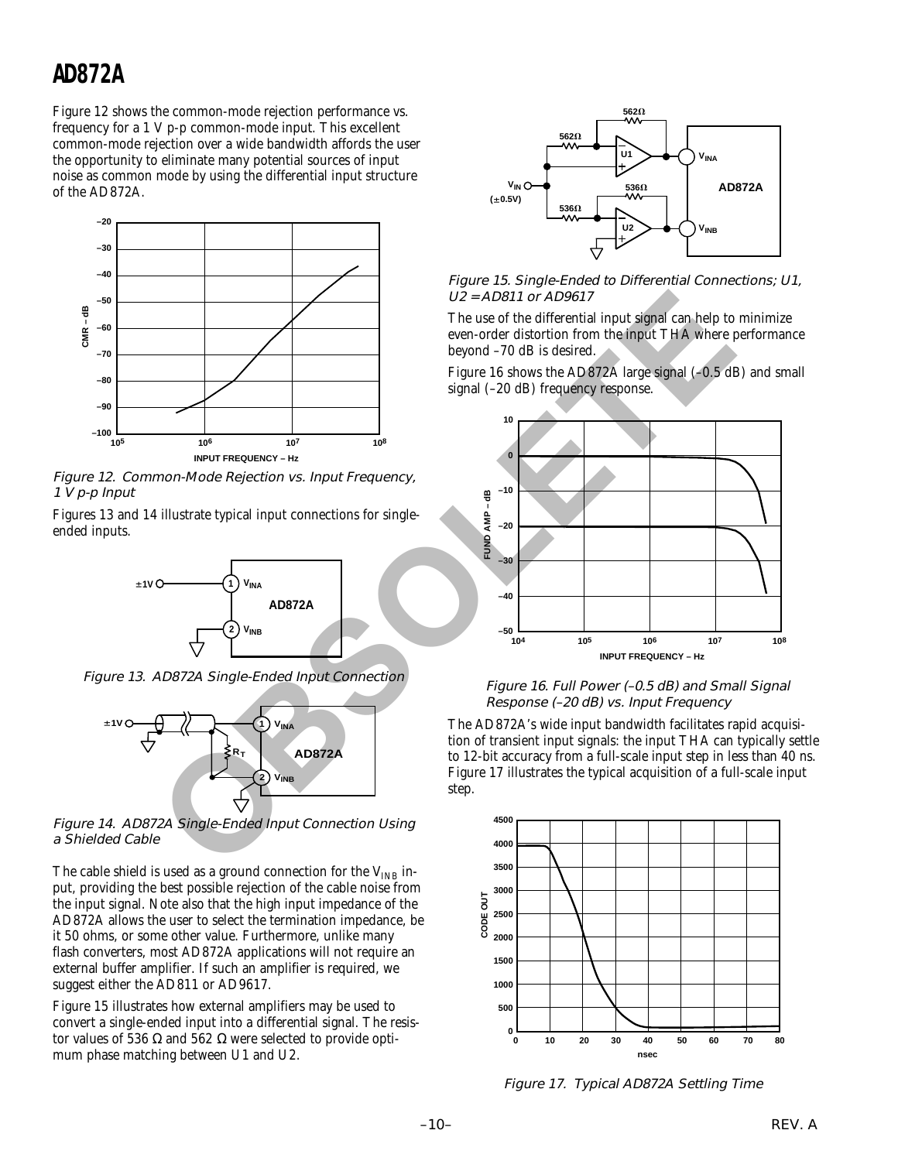Figure 12 shows the common-mode rejection performance vs. frequency for a 1 V p-p common-mode input. This excellent common-mode rejection over a wide bandwidth affords the user the opportunity to eliminate many potential sources of input noise as common mode by using the differential input structure of the AD872A.



Figure 12. Common-Mode Rejection vs. Input Frequency, 1 V p-p Input

Figures 13 and 14 illustrate typical input connections for singleended inputs.



Figure 13. AD872A Single-Ended Input Connection



Figure 14. AD872A Single-Ended Input Connection Using a Shielded Cable

The cable shield is used as a ground connection for the  $V_{INB}$  input, providing the best possible rejection of the cable noise from the input signal. Note also that the high input impedance of the AD872A allows the user to select the termination impedance, be it 50 ohms, or some other value. Furthermore, unlike many flash converters, most AD872A applications will not require an external buffer amplifier. If such an amplifier is required, we suggest either the AD811 or AD9617.

Figure 15 illustrates how external amplifiers may be used to convert a single-ended input into a differential signal. The resistor values of 536 Ω and 562 Ω were selected to provide optimum phase matching between U1 and U2.



Figure 15. Single-Ended to Differential Connections; U1, U2 = AD811 or AD9617

The use of the differential input signal can help to minimize even-order distortion from the input THA where performance beyond –70 dB is desired.

Figure 16 shows the AD872A large signal (–0.5 dB) and small signal (–20 dB) frequency response.



 Figure 16. Full Power (–0.5 dB) and Small Signal Response (–20 dB) vs. Input Frequency

The AD872A's wide input bandwidth facilitates rapid acquisition of transient input signals: the input THA can typically settle to 12-bit accuracy from a full-scale input step in less than 40 ns. Figure 17 illustrates the typical acquisition of a full-scale input step.



Figure 17. Typical AD872A Settling Time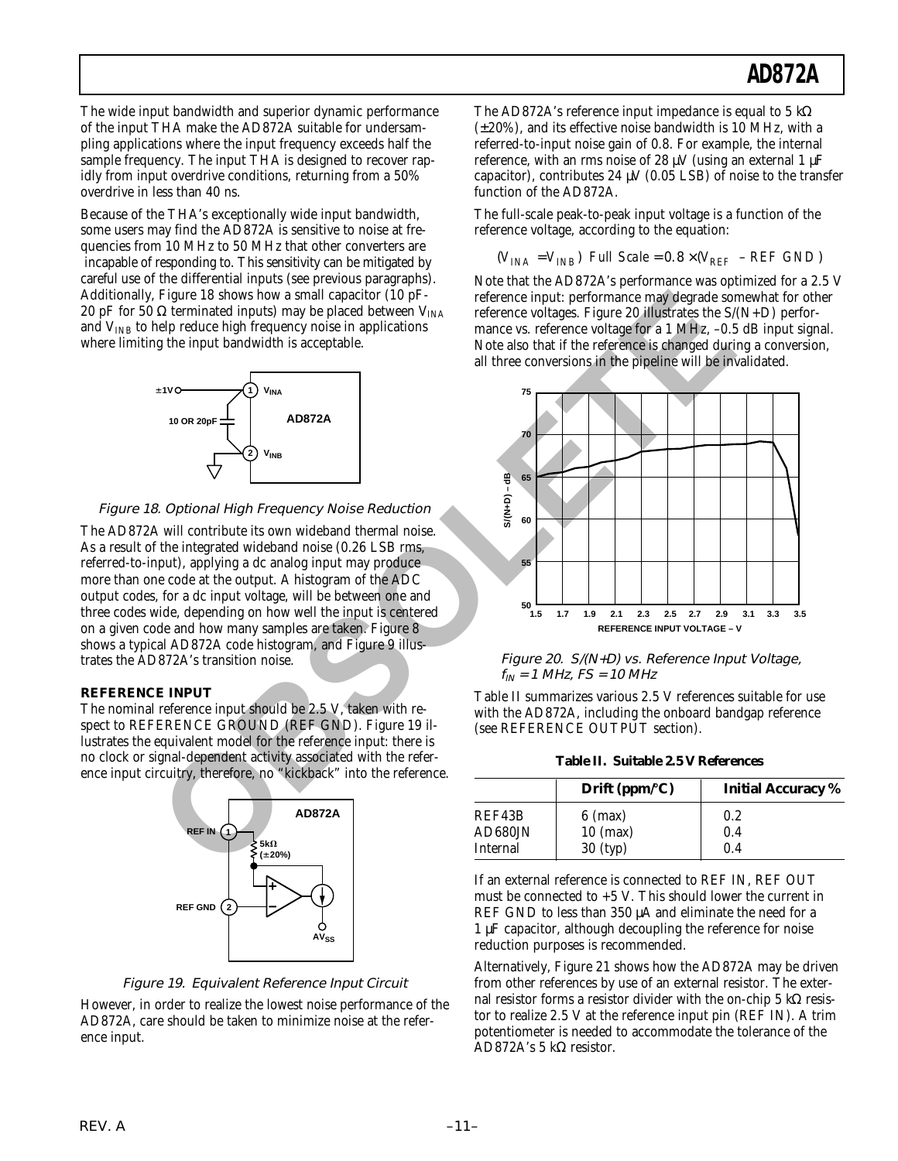The wide input bandwidth and superior dynamic performance of the input THA make the AD872A suitable for undersampling applications where the input frequency exceeds half the sample frequency. The input THA is designed to recover rapidly from input overdrive conditions, returning from a 50% overdrive in less than 40 ns.

Because of the THA's exceptionally wide input bandwidth, some users may find the AD872A is sensitive to noise at frequencies from 10 MHz to 50 MHz that other converters are incapable of responding to. This sensitivity can be mitigated by careful use of the differential inputs (see previous paragraphs). Additionally, Figure 18 shows how a small capacitor (10 pF-20 pF for 50  $\Omega$  terminated inputs) may be placed between V<sub>INA</sub> and  $V_{INB}$  to help reduce high frequency noise in applications where limiting the input bandwidth is acceptable.



#### Figure 18. Optional High Frequency Noise Reduction

The AD872A will contribute its own wideband thermal noise. As a result of the integrated wideband noise (0.26 LSB rms, referred-to-input), applying a dc analog input may produce more than one code at the output. A histogram of the ADC output codes, for a dc input voltage, will be between one and three codes wide, depending on how well the input is centered on a given code and how many samples are taken. Figure 8 shows a typical AD872A code histogram, and Figure 9 illustrates the AD872A's transition noise.

#### **REFERENCE INPUT**

The nominal reference input should be 2.5 V, taken with respect to REFERENCE GROUND (REF GND). Figure 19 illustrates the equivalent model for the reference input: there is no clock or signal-dependent activity associated with the reference input circuitry, therefore, no "kickback" into the reference.





However, in order to realize the lowest noise performance of the AD872A, care should be taken to minimize noise at the reference input.

The AD872A's reference input impedance is equal to 5  $k\Omega$ (±20%), and its effective noise bandwidth is 10 MHz, with a referred-to-input noise gain of 0.8. For example, the internal reference, with an rms noise of 28  $\mu$ V (using an external 1  $\mu$ F capacitor), contributes 24  $\mu$ V (0.05 LSB) of noise to the transfer function of the AD872A.

The full-scale peak-to-peak input voltage is a function of the reference voltage, according to the equation:

$$
(V_{INA} = V_{INB})\ \ Full\ Scale = 0.8 \times (V_{REF} - REF\ GND)
$$

Note that the AD872A's performance was optimized for a 2.5 V reference input: performance may degrade somewhat for other reference voltages. Figure 20 illustrates the  $S/(N+D)$  performance vs. reference voltage for a 1 MHz, -0.5 dB input signal. Note also that if the reference is changed during a conversion, all three conversions in the pipeline will be invalidated.



Figure 20. S/(N+D) vs. Reference Input Voltage,  $f_{IN}$  = 1 MHz, FS = 10 MHz

Table II summarizes various 2.5 V references suitable for use with the AD872A, including the onboard bandgap reference (see REFERENCE OUTPUT section).

**Table II. Suitable 2.5 V References**

|          | Drift ( $ppm$ <sup>o</sup> C) | <b>Initial Accuracy</b> % |
|----------|-------------------------------|---------------------------|
| REF43B   | $6 \text{ (max)}$             | 0.2                       |
| AD680JN  | $10$ (max)                    | 0.4                       |
| Internal | $30$ (typ)                    | 0.4                       |

If an external reference is connected to REF IN, REF OUT must be connected to +5 V. This should lower the current in REF GND to less than 350 µA and eliminate the need for a 1 µF capacitor, although decoupling the reference for noise reduction purposes is recommended.

Alternatively, Figure 21 shows how the AD872A may be driven from other references by use of an external resistor. The external resistor forms a resistor divider with the on-chip 5 kΩ resistor to realize 2.5 V at the reference input pin (REF IN). A trim potentiometer is needed to accommodate the tolerance of the AD872A's 5 kΩ resistor.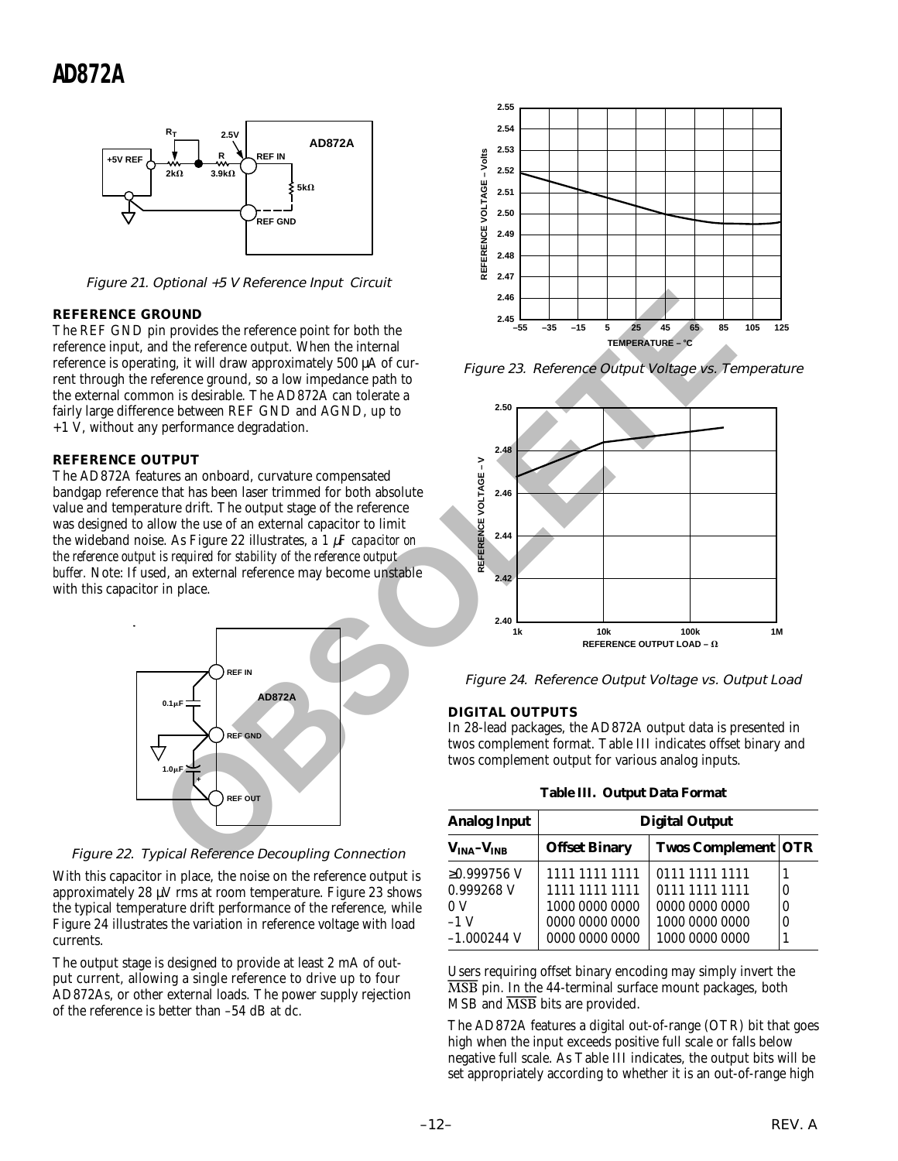

Figure 21. Optional +5 V Reference Input Circuit

#### **REFERENCE GROUND**

The REF GND pin provides the reference point for both the reference input, and the reference output. When the internal reference is operating, it will draw approximately 500 µA of current through the reference ground, so a low impedance path to the external common is desirable. The AD872A can tolerate a fairly large difference between REF GND and AGND, up to  $+1$  V, without any performance degradation.

#### **REFERENCE OUTPUT**

The AD872A features an onboard, curvature compensated bandgap reference that has been laser trimmed for both absolute value and temperature drift. The output stage of the reference was designed to allow the use of an external capacitor to limit the wideband noise. As Figure 22 illustrates, *a 1* µ*F capacitor on the reference output is required for stability of the reference output buffer.* Note: If used, an external reference may become unstable with this capacitor in place.



Figure 22. Typical Reference Decoupling Connection

With this capacitor in place, the noise on the reference output is approximately 28 µV rms at room temperature. Figure 23 shows the typical temperature drift performance of the reference, while Figure 24 illustrates the variation in reference voltage with load currents.

The output stage is designed to provide at least 2 mA of output current, allowing a single reference to drive up to four AD872As, or other external loads. The power supply rejection of the reference is better than –54 dB at dc.



Figure 23. Reference Output Voltage vs. Temperature



Figure 24. Reference Output Voltage vs. Output Load

#### **DIGITAL OUTPUTS**

In 28-lead packages, the AD872A output data is presented in twos complement format. Table III indicates offset binary and twos complement output for various analog inputs.

**Table III. Output Data Format**

| <b>Analog Input</b> | <b>Digital Output</b> |                            |          |  |
|---------------------|-----------------------|----------------------------|----------|--|
| $VINA - VINB$       | <b>Offset Binary</b>  | <b>Twos Complement OTR</b> |          |  |
| $≥0.999756$ V       | 1111 1111 1111        | 0111 1111 1111             |          |  |
| 0.999268 V          | 1111 1111 1111        | 0111 1111 1111             | 0        |  |
| 0 V                 | 1000 0000 0000        | 0000 0000 0000             | $\theta$ |  |
| $-1$ V              | 0000 0000 0000        | 1000 0000 0000             | 0        |  |
| $-1.000244$ V       | 0000 0000 0000        | 1000 0000 0000             |          |  |

Users requiring offset binary encoding may simply invert the *MSB* pin. In the 44-terminal surface mount packages, both MSB and *MSB* bits are provided.

The AD872A features a digital out-of-range (OTR) bit that goes high when the input exceeds positive full scale or falls below negative full scale. As Table III indicates, the output bits will be set appropriately according to whether it is an out-of-range high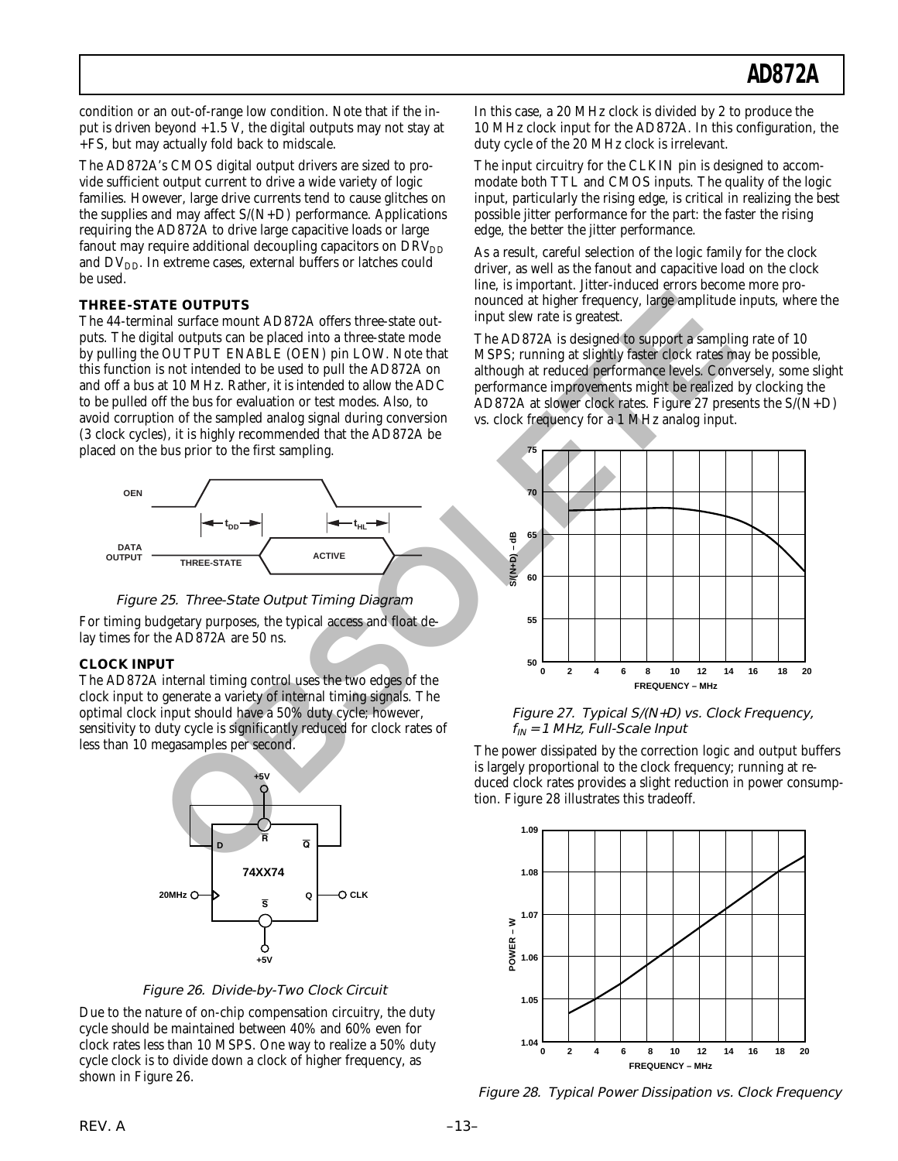condition or an out-of-range low condition. Note that if the input is driven beyond  $+1.5$  V, the digital outputs may not stay at +FS, but may actually fold back to midscale.

The AD872A's CMOS digital output drivers are sized to provide sufficient output current to drive a wide variety of logic families. However, large drive currents tend to cause glitches on the supplies and may affect  $S/(N+D)$  performance. Applications requiring the AD872A to drive large capacitive loads or large fanout may require additional decoupling capacitors on  $DRV<sub>DD</sub>$ and  $DV_{DD}$ . In extreme cases, external buffers or latches could be used.

#### **THREE-STATE OUTPUTS**

The 44-terminal surface mount AD872A offers three-state outputs. The digital outputs can be placed into a three-state mode by pulling the OUTPUT ENABLE (OEN) pin LOW. Note that this function is not intended to be used to pull the AD872A on and off a bus at 10 MHz. Rather, it is intended to allow the ADC to be pulled off the bus for evaluation or test modes. Also, to avoid corruption of the sampled analog signal during conversion (3 clock cycles), it is highly recommended that the AD872A be placed on the bus prior to the first sampling.



Figure 25. Three-State Output Timing Diagram

For timing budgetary purposes, the typical access and float delay times for the AD872A are 50 ns.

#### **CLOCK INPUT**

The AD872A internal timing control uses the two edges of the clock input to generate a variety of internal timing signals. The optimal clock input should have a 50% duty cycle; however, sensitivity to duty cycle is significantly reduced for clock rates of less than 10 megasamples per second.



Figure 26. Divide-by-Two Clock Circuit

Due to the nature of on-chip compensation circuitry, the duty cycle should be maintained between 40% and 60% even for clock rates less than 10 MSPS. One way to realize a 50% duty cycle clock is to divide down a clock of higher frequency, as shown in Figure 26.

In this case, a 20 MHz clock is divided by 2 to produce the 10 MHz clock input for the AD872A. In this configuration, the duty cycle of the 20 MHz clock is irrelevant.

The input circuitry for the CLKIN pin is designed to accommodate both TTL and CMOS inputs. The quality of the logic input, particularly the rising edge, is critical in realizing the best possible jitter performance for the part: the faster the rising edge, the better the jitter performance.

As a result, careful selection of the logic family for the clock driver, as well as the fanout and capacitive load on the clock line, is important. Jitter-induced errors become more pronounced at higher frequency, large amplitude inputs, where the input slew rate is greatest.

The AD872A is designed to support a sampling rate of 10 MSPS; running at slightly faster clock rates may be possible, although at reduced performance levels. Conversely, some slight performance improvements might be realized by clocking the AD872A at slower clock rates. Figure 27 presents the S/(N+D) vs. clock frequency for a 1 MHz analog input.



 Figure 27. Typical S/(N+D) vs. Clock Frequency,  $f_{IN}$  = 1 MHz, Full-Scale Input

The power dissipated by the correction logic and output buffers is largely proportional to the clock frequency; running at reduced clock rates provides a slight reduction in power consumption. Figure 28 illustrates this tradeoff.



Figure 28. Typical Power Dissipation vs. Clock Frequency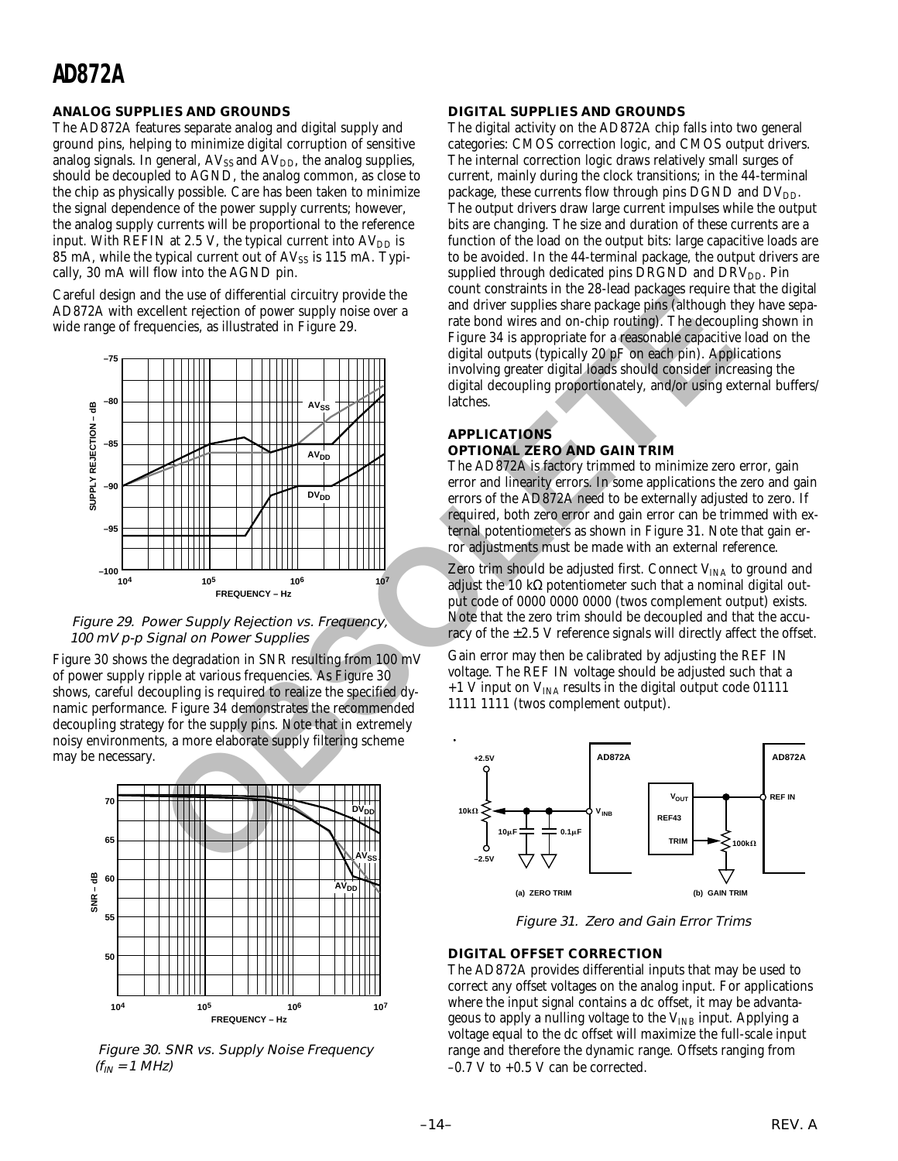#### **ANALOG SUPPLIES AND GROUNDS**

The AD872A features separate analog and digital supply and ground pins, helping to minimize digital corruption of sensitive analog signals. In general,  $AV_{SS}$  and  $AV_{DD}$ , the analog supplies, should be decoupled to AGND, the analog common, as close to the chip as physically possible. Care has been taken to minimize the signal dependence of the power supply currents; however, the analog supply currents will be proportional to the reference input. With REFIN at 2.5 V, the typical current into  $AV<sub>DD</sub>$  is 85 mA, while the typical current out of  $AV_{SS}$  is 115 mA. Typically, 30 mA will flow into the AGND pin.

Careful design and the use of differential circuitry provide the AD872A with excellent rejection of power supply noise over a wide range of frequencies, as illustrated in Figure 29.



 Figure 29. Power Supply Rejection vs. Frequency, 100 mV p-p Signal on Power Supplies

Figure 30 shows the degradation in SNR resulting from 100 mV of power supply ripple at various frequencies. As Figure 30 shows, careful decoupling is required to realize the specified dynamic performance. Figure 34 demonstrates the recommended decoupling strategy for the supply pins. Note that in extremely noisy environments, a more elaborate supply filtering scheme may be necessary.



 Figure 30. SNR vs. Supply Noise Frequency  $(f_{IN} = 1 MHz)$ 

#### **DIGITAL SUPPLIES AND GROUNDS**

The digital activity on the AD872A chip falls into two general categories: CMOS correction logic, and CMOS output drivers. The internal correction logic draws relatively small surges of current, mainly during the clock transitions; in the 44-terminal package, these currents flow through pins DGND and DV<sub>DD</sub>. The output drivers draw large current impulses while the output bits are changing. The size and duration of these currents are a function of the load on the output bits: large capacitive loads are to be avoided. In the 44-terminal package, the output drivers are supplied through dedicated pins DRGND and DRV<sub>DD</sub>. Pin count constraints in the 28-lead packages require that the digital and driver supplies share package pins (although they have separate bond wires and on-chip routing). The decoupling shown in Figure 34 is appropriate for a reasonable capacitive load on the digital outputs (typically 20 pF on each pin). Applications involving greater digital loads should consider increasing the digital decoupling proportionately, and/or using external buffers/ latches.

#### **APPLICATIONS OPTIONAL ZERO AND GAIN TRIM**

The AD872A is factory trimmed to minimize zero error, gain error and linearity errors. In some applications the zero and gain errors of the AD872A need to be externally adjusted to zero. If required, both zero error and gain error can be trimmed with external potentiometers as shown in Figure 31. Note that gain error adjustments must be made with an external reference.

Zero trim should be adjusted first. Connect  $V_{INA}$  to ground and adjust the 10 kΩ potentiometer such that a nominal digital output code of 0000 0000 0000 (twos complement output) exists. Note that the zero trim should be decoupled and that the accuracy of the  $\pm 2.5$  V reference signals will directly affect the offset.

Gain error may then be calibrated by adjusting the REF IN voltage. The REF IN voltage should be adjusted such that a  $+1$  V input on  $V_{INA}$  results in the digital output code 01111 1111 1111 (twos complement output).



Figure 31. Zero and Gain Error Trims

#### **DIGITAL OFFSET CORRECTION**

The AD872A provides differential inputs that may be used to correct any offset voltages on the analog input. For applications where the input signal contains a dc offset, it may be advantageous to apply a nulling voltage to the  $V_{INB}$  input. Applying a voltage equal to the dc offset will maximize the full-scale input range and therefore the dynamic range. Offsets ranging from  $-0.7$  V to  $+0.5$  V can be corrected.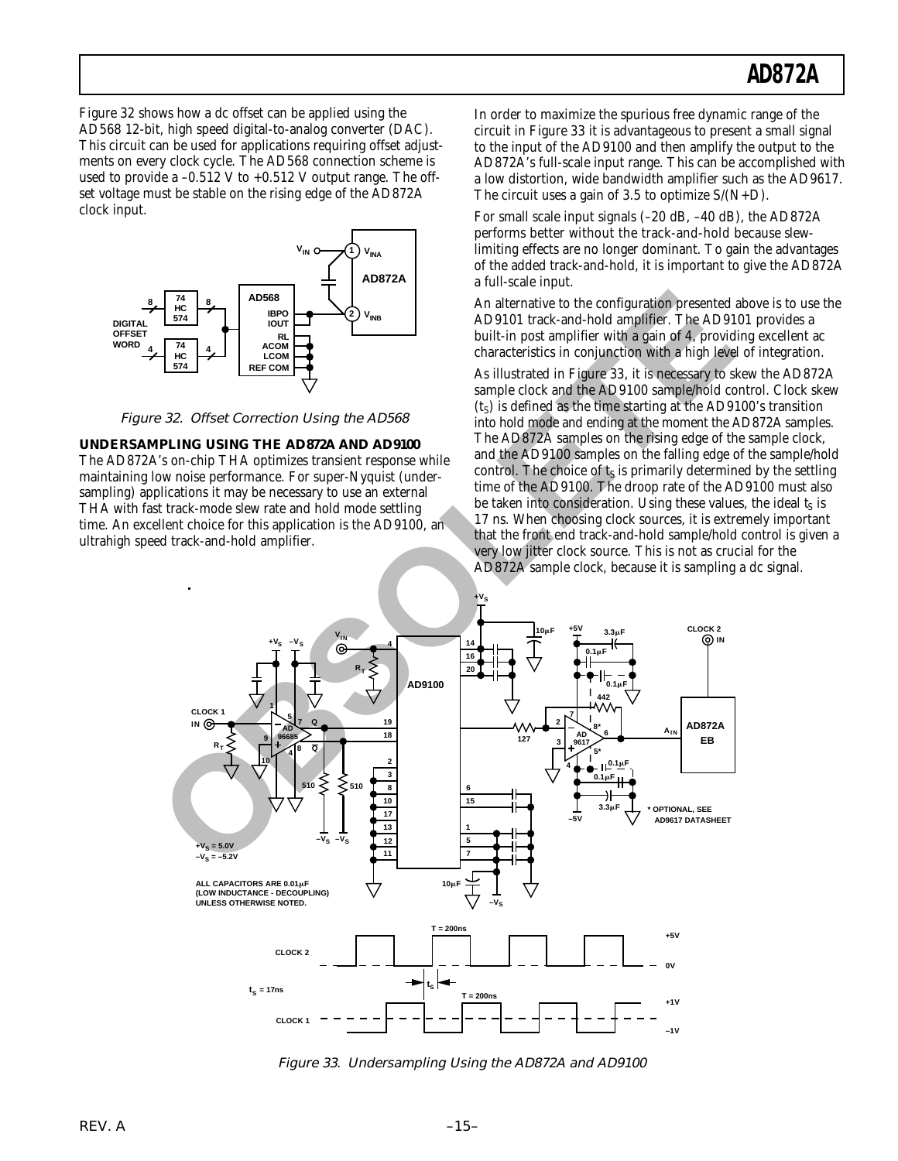Figure 32 shows how a dc offset can be applied using the AD568 12-bit, high speed digital-to-analog converter (DAC). This circuit can be used for applications requiring offset adjustments on every clock cycle. The AD568 connection scheme is used to provide a  $-0.512$  V to  $+0.512$  V output range. The offset voltage must be stable on the rising edge of the AD872A clock input.



Figure 32. Offset Correction Using the AD568

**UNDERSAMPLING USING THE AD872A AND AD9100** The AD872A's on-chip THA optimizes transient response while maintaining low noise performance. For super-Nyquist (undersampling) applications it may be necessary to use an external THA with fast track-mode slew rate and hold mode settling time. An excellent choice for this application is the AD9100, an ultrahigh speed track-and-hold amplifier.

In order to maximize the spurious free dynamic range of the circuit in Figure 33 it is advantageous to present a small signal to the input of the AD9100 and then amplify the output to the AD872A's full-scale input range. This can be accomplished with a low distortion, wide bandwidth amplifier such as the AD9617. The circuit uses a gain of 3.5 to optimize  $S/(N+D)$ .

For small scale input signals (–20 dB, –40 dB), the AD872A performs better without the track-and-hold because slewlimiting effects are no longer dominant. To gain the advantages of the added track-and-hold, it is important to give the AD872A a full-scale input.

An alternative to the configuration presented above is to use the AD9101 track-and-hold amplifier. The AD9101 provides a built-in post amplifier with a gain of 4, providing excellent ac characteristics in conjunction with a high level of integration.

As illustrated in Figure 33, it is necessary to skew the AD872A sample clock and the AD9100 sample/hold control. Clock skew  $(t<sub>S</sub>)$  is defined as the time starting at the AD9100's transition into hold mode and ending at the moment the AD872A samples. The AD872A samples on the rising edge of the sample clock, and the AD9100 samples on the falling edge of the sample/hold control. The choice of  $t<sub>S</sub>$  is primarily determined by the settling time of the AD9100. The droop rate of the AD9100 must also be taken into consideration. Using these values, the ideal  $t<sub>S</sub>$  is 17 ns. When choosing clock sources, it is extremely important that the front end track-and-hold sample/hold control is given a very low jitter clock source. This is not as crucial for the AD872A sample clock, because it is sampling a dc signal.



Figure 33. Undersampling Using the AD872A and AD9100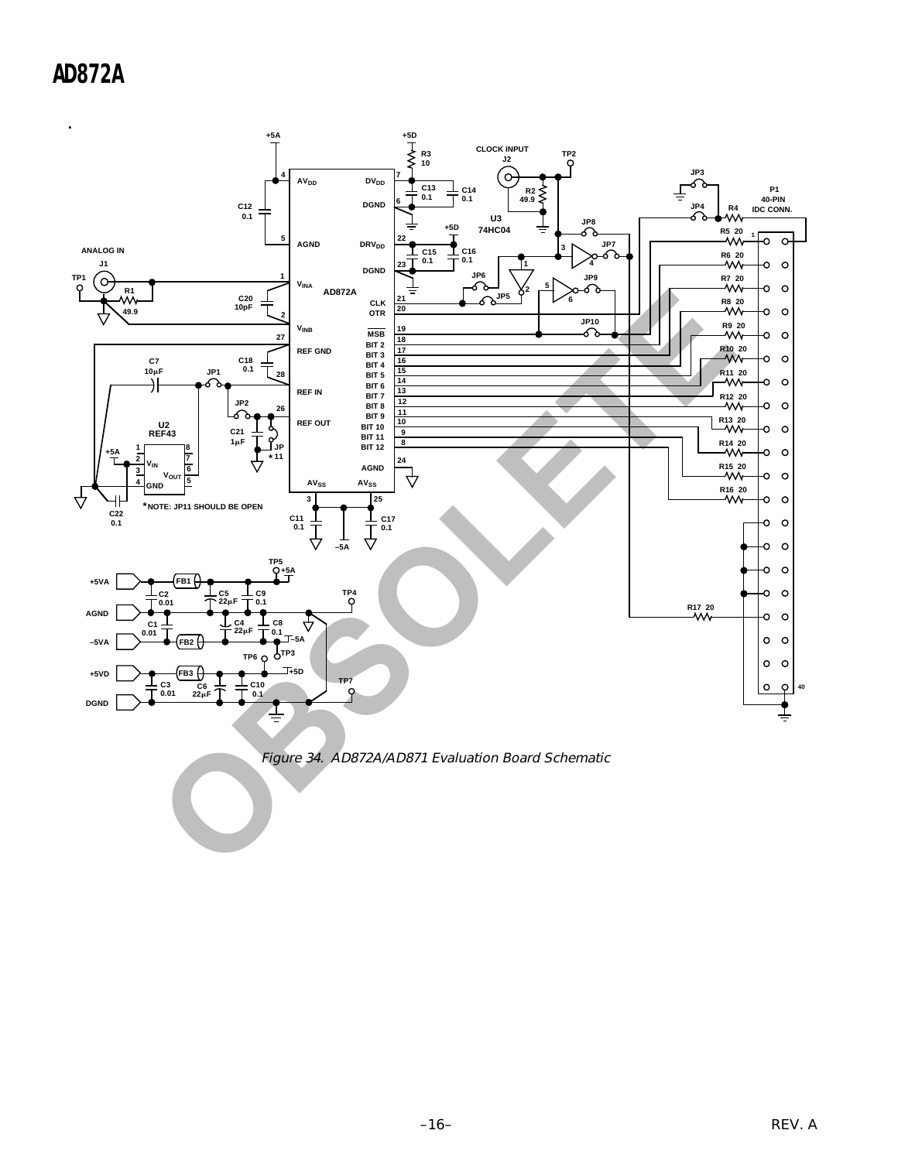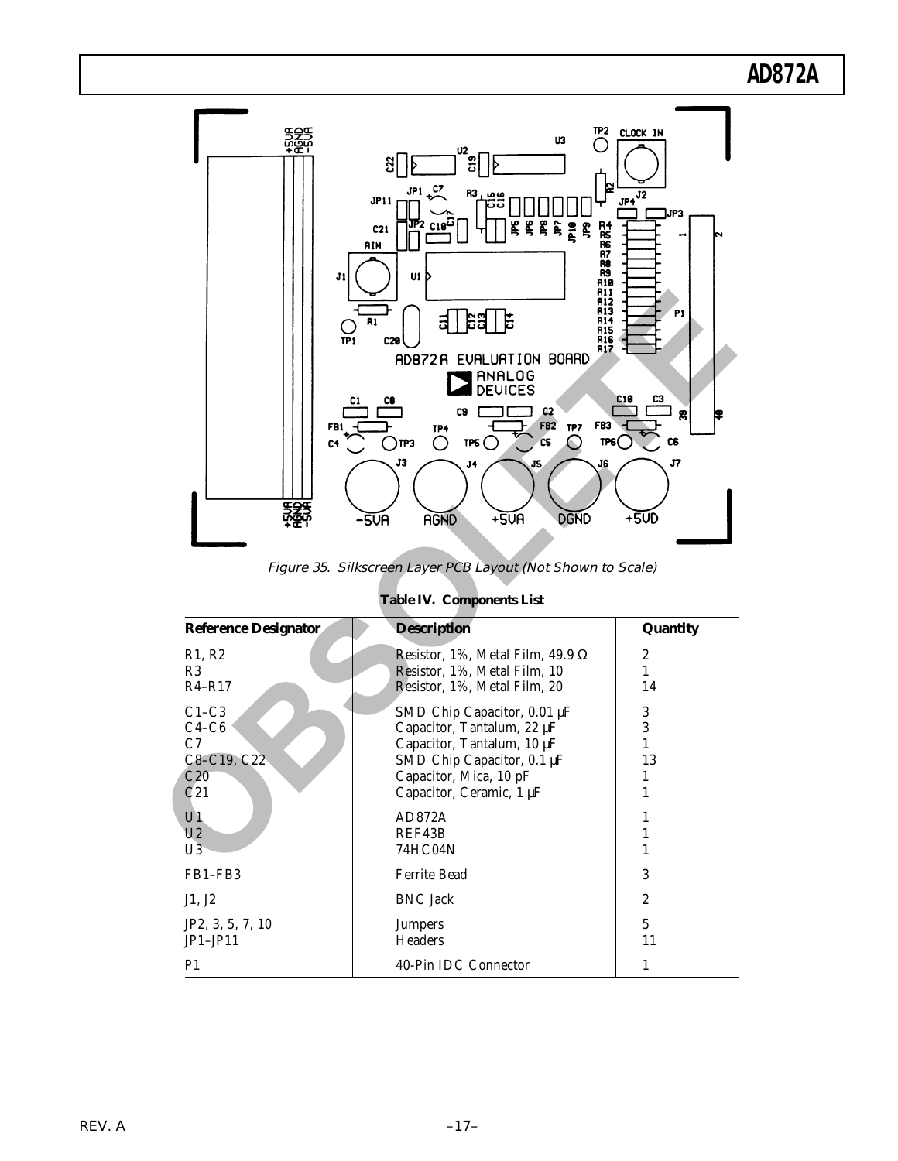

Figure 35. Silkscreen Layer PCB Layout (Not Shown to Scale)

| <b>Table IV. Components List</b> |  |  |  |
|----------------------------------|--|--|--|
|----------------------------------|--|--|--|

| <b>Reference Designator</b>     | <b>Description</b>                      | Quantity       |
|---------------------------------|-----------------------------------------|----------------|
| R <sub>1</sub> , R <sub>2</sub> | Resistor, 1%, Metal Film, 49.9 $\Omega$ | 2              |
| R3                              | Resistor, 1%, Metal Film, 10            |                |
| $R4 - R17$                      | Resistor, 1%, Metal Film, 20            | 14             |
| $C1-C3$                         | SMD Chip Capacitor, $0.01 \mu F$        | 3              |
| $C4-C6$                         | Capacitor, Tantalum, 22 µF              | 3              |
| C7                              | Capacitor, Tantalum, 10 µF              |                |
| C8-C19, C22                     | SMD Chip Capacitor, 0.1 µF              | 13             |
| C20                             | Capacitor, Mica, 10 pF                  |                |
| C <sub>21</sub>                 | Capacitor, Ceramic, 1 µF                | 1              |
| U1                              | AD872A                                  |                |
| U <sub>2</sub>                  | REF43B                                  | 1              |
| U3                              | 74HC04N                                 |                |
| FB1-FB3                         | <b>Ferrite Bead</b>                     | 3              |
| J1, J2                          | <b>BNC</b> Jack                         | $\overline{2}$ |
| JP2, 3, 5, 7, 10                | <b>Jumpers</b>                          | 5              |
| $JP1-JP11$                      | <b>Headers</b>                          | 11             |
| P <sub>1</sub>                  | 40-Pin IDC Connector                    | 1              |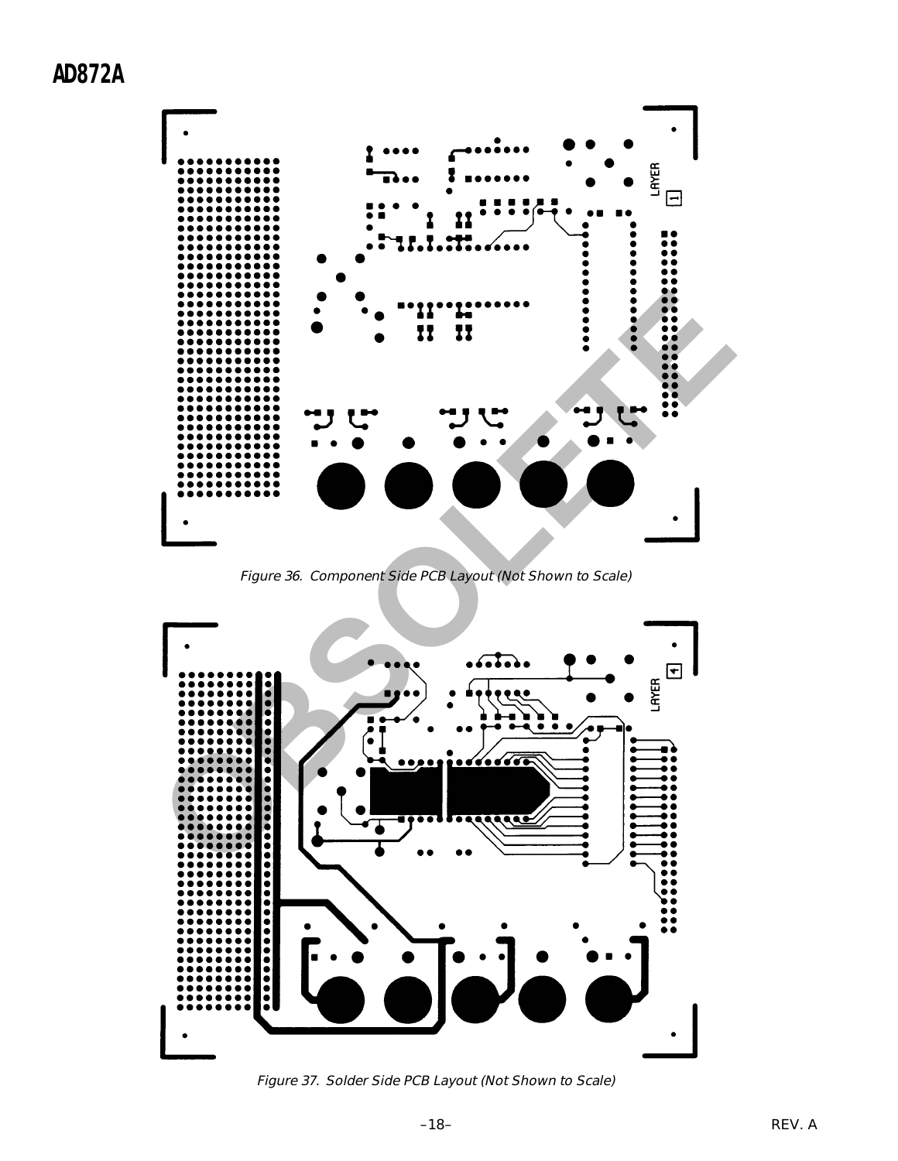

Figure 36. Component Side PCB Layout (Not Shown to Scale)



Figure 37. Solder Side PCB Layout (Not Shown to Scale)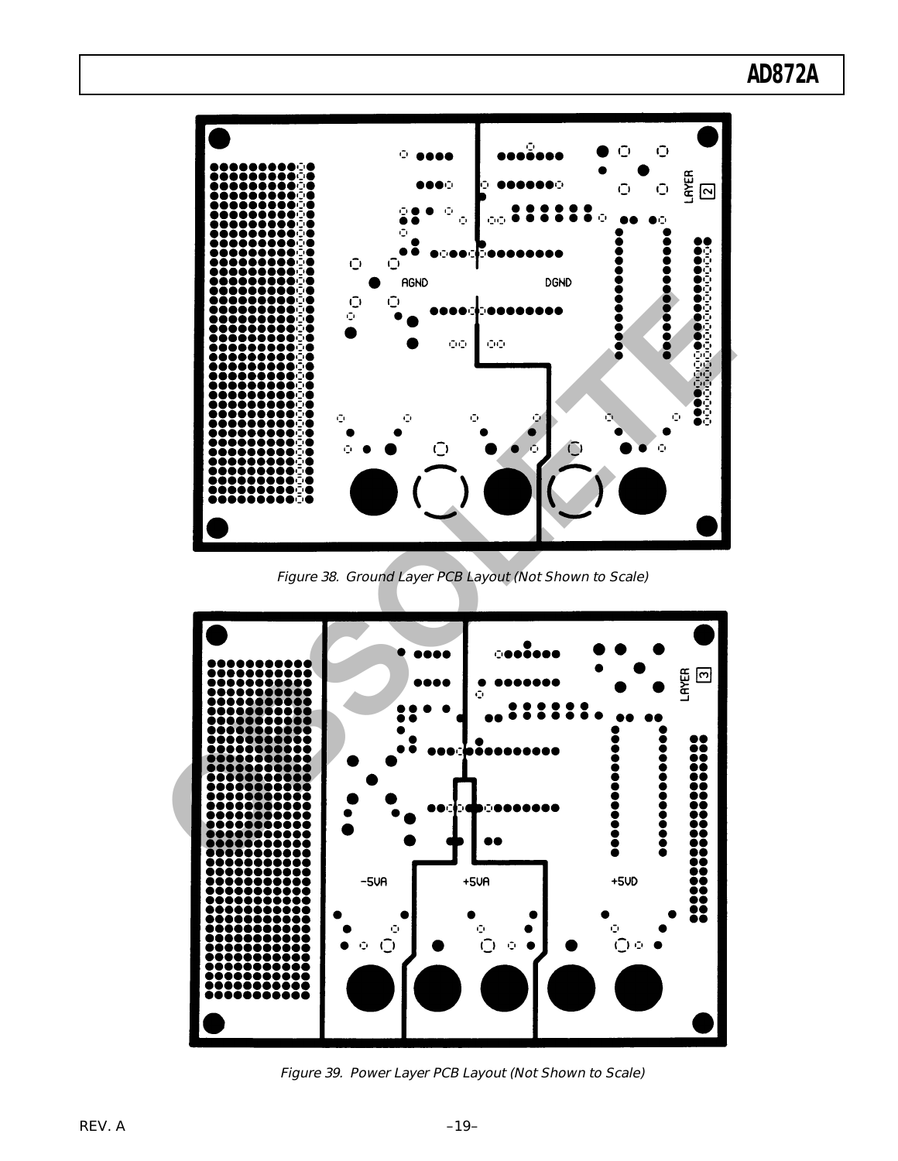

Figure 38. Ground Layer PCB Layout (Not Shown to Scale)



Figure 39. Power Layer PCB Layout (Not Shown to Scale)